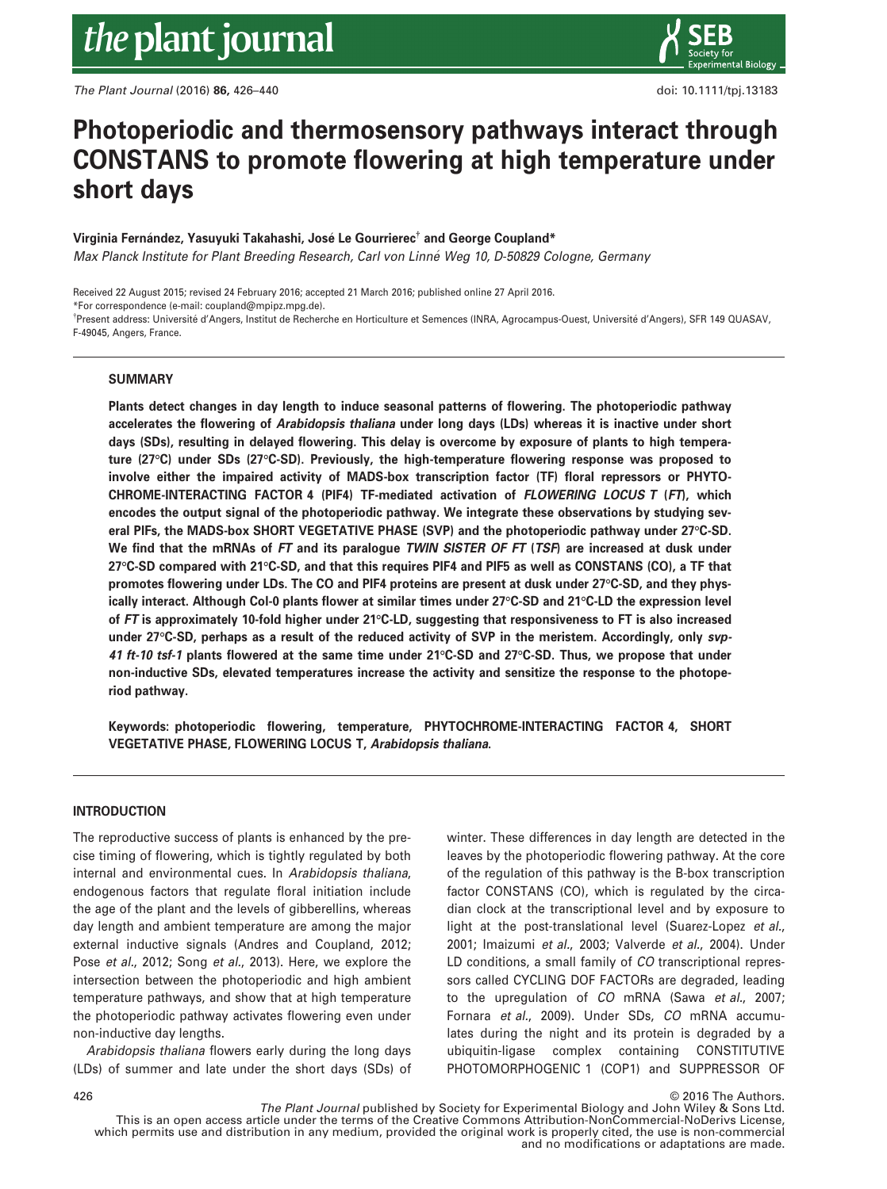# the plant journal

The Plant Journal (2016) 86, 426-440 doi: 10.1111/tpj.13183



# Photoperiodic and thermosensory pathways interact through CONSTANS to promote flowering at high temperature under short days

Virginia Fernández, Yasuyuki Takahashi, José Le Gourrierec<sup>†</sup> and George Coupland\* Max Planck Institute for Plant Breeding Research, Carl von Linne Weg 10, D-50829 Cologne, Germany

Received 22 August 2015; revised 24 February 2016; accepted 21 March 2016; published online 27 April 2016. \*For correspondence (e-mail: coupland@mpipz.mpg.de).

<sup>†</sup>Present address: Université d'Angers, Institut de Recherche en Horticulture et Semences (INRA, Agrocampus-Ouest, Université d'Angers), SFR 149 QUASAV, F-49045, Angers, France.

# **SUMMARY**

Plants detect changes in day length to induce seasonal patterns of flowering. The photoperiodic pathway accelerates the flowering of Arabidopsis thaliana under long days (LDs) whereas it is inactive under short days (SDs), resulting in delayed flowering. This delay is overcome by exposure of plants to high temperature (27°C) under SDs (27°C-SD). Previously, the high-temperature flowering response was proposed to involve either the impaired activity of MADS-box transcription factor (TF) floral repressors or PHYTO-CHROME-INTERACTING FACTOR 4 (PIF4) TF-mediated activation of FLOWERING LOCUS T (FT), which encodes the output signal of the photoperiodic pathway. We integrate these observations by studying several PIFs, the MADS-box SHORT VEGETATIVE PHASE (SVP) and the photoperiodic pathway under 27°C-SD. We find that the mRNAs of FT and its paralogue TWIN SISTER OF FT (TSF) are increased at dusk under 27°C-SD compared with 21°C-SD, and that this requires PIF4 and PIF5 as well as CONSTANS (CO), a TF that promotes flowering under LDs. The CO and PIF4 proteins are present at dusk under 27°C-SD, and they physically interact. Although Col-0 plants flower at similar times under 27°C-SD and 21°C-LD the expression level of FT is approximately 10-fold higher under 21°C-LD, suggesting that responsiveness to FT is also increased under 27°C-SD, perhaps as a result of the reduced activity of SVP in the meristem. Accordingly, only svp-41 ft-10 tsf-1 plants flowered at the same time under 21°C-SD and 27°C-SD. Thus, we propose that under non-inductive SDs, elevated temperatures increase the activity and sensitize the response to the photoperiod pathway.

Keywords: photoperiodic flowering, temperature, PHYTOCHROME-INTERACTING FACTOR 4, SHORT VEGETATIVE PHASE, FLOWERING LOCUS T, Arabidopsis thaliana.

# INTRODUCTION

The reproductive success of plants is enhanced by the precise timing of flowering, which is tightly regulated by both internal and environmental cues. In Arabidopsis thaliana, endogenous factors that regulate floral initiation include the age of the plant and the levels of gibberellins, whereas day length and ambient temperature are among the major external inductive signals (Andres and Coupland, 2012; Pose et al., 2012; Song et al., 2013). Here, we explore the intersection between the photoperiodic and high ambient temperature pathways, and show that at high temperature the photoperiodic pathway activates flowering even under non-inductive day lengths.

Arabidopsis thaliana flowers early during the long days (LDs) of summer and late under the short days (SDs) of winter. These differences in day length are detected in the leaves by the photoperiodic flowering pathway. At the core of the regulation of this pathway is the B-box transcription factor CONSTANS (CO), which is regulated by the circadian clock at the transcriptional level and by exposure to light at the post-translational level (Suarez-Lopez et al., 2001; Imaizumi et al., 2003; Valverde et al., 2004). Under LD conditions, a small family of CO transcriptional repressors called CYCLING DOF FACTORs are degraded, leading to the upregulation of CO mRNA (Sawa et al., 2007; Fornara et al., 2009). Under SDs, CO mRNA accumulates during the night and its protein is degraded by a ubiquitin-ligase complex containing CONSTITUTIVE PHOTOMORPHOGENIC 1 (COP1) and SUPPRESSOR OF

426

© 2016 The Authors. The Plant Journal published by Society for Experimental Biology and John Wiley & Sons Ltd. This is an open access article under the terms of the [Creative Commons Attribution-NonCommercial-NoDerivs](http://creativecommons.org/licenses/by-nc-nd/4.0/) License, which permits use and distribution in any medium, provided the original work is properly cited, the use is non-commercial and no modifications or adaptations are made.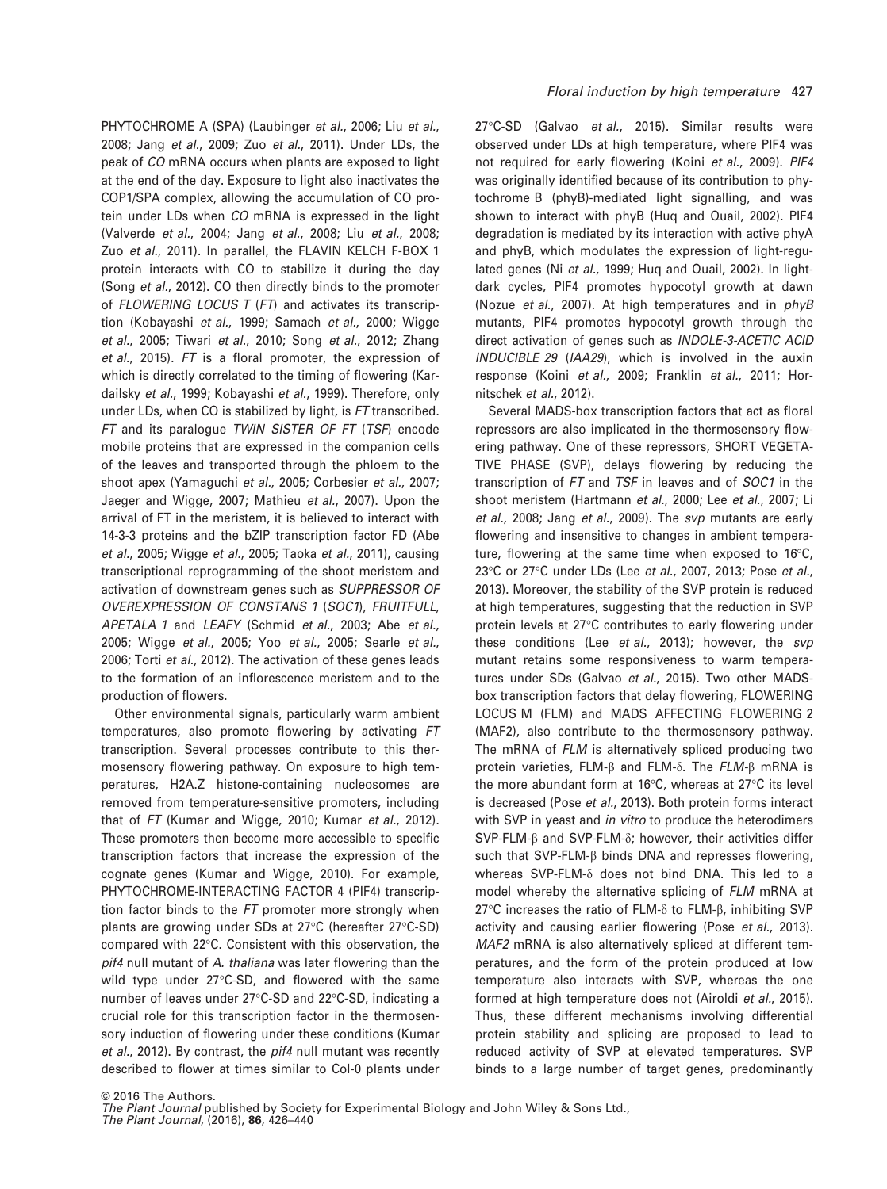PHYTOCHROME A (SPA) (Laubinger et al., 2006; Liu et al., 2008; Jang et al., 2009; Zuo et al., 2011). Under LDs, the peak of CO mRNA occurs when plants are exposed to light at the end of the day. Exposure to light also inactivates the COP1/SPA complex, allowing the accumulation of CO protein under LDs when CO mRNA is expressed in the light (Valverde et al., 2004; Jang et al., 2008; Liu et al., 2008; Zuo et al., 2011). In parallel, the FLAVIN KELCH F-BOX 1 protein interacts with CO to stabilize it during the day (Song et al., 2012). CO then directly binds to the promoter of FLOWERING LOCUS T (FT) and activates its transcription (Kobayashi et al., 1999; Samach et al., 2000; Wigge et al., 2005; Tiwari et al., 2010; Song et al., 2012; Zhang et al., 2015). FT is a floral promoter, the expression of which is directly correlated to the timing of flowering (Kardailsky et al., 1999; Kobayashi et al., 1999). Therefore, only under LDs, when CO is stabilized by light, is FT transcribed. FT and its paralogue TWIN SISTER OF FT (TSF) encode mobile proteins that are expressed in the companion cells of the leaves and transported through the phloem to the shoot apex (Yamaguchi et al., 2005; Corbesier et al., 2007; Jaeger and Wigge, 2007; Mathieu et al., 2007). Upon the arrival of FT in the meristem, it is believed to interact with 14-3-3 proteins and the bZIP transcription factor FD (Abe et al., 2005; Wigge et al., 2005; Taoka et al., 2011), causing transcriptional reprogramming of the shoot meristem and activation of downstream genes such as SUPPRESSOR OF OVEREXPRESSION OF CONSTANS 1 (SOC1), FRUITFULL, APETALA 1 and LEAFY (Schmid et al., 2003; Abe et al., 2005; Wigge et al., 2005; Yoo et al., 2005; Searle et al., 2006; Torti et al., 2012). The activation of these genes leads to the formation of an inflorescence meristem and to the production of flowers.

Other environmental signals, particularly warm ambient temperatures, also promote flowering by activating FT transcription. Several processes contribute to this thermosensory flowering pathway. On exposure to high temperatures, H2A.Z histone-containing nucleosomes are removed from temperature-sensitive promoters, including that of FT (Kumar and Wigge, 2010; Kumar et al., 2012). These promoters then become more accessible to specific transcription factors that increase the expression of the cognate genes (Kumar and Wigge, 2010). For example, PHYTOCHROME-INTERACTING FACTOR 4 (PIF4) transcription factor binds to the FT promoter more strongly when plants are growing under SDs at 27°C (hereafter 27°C-SD) compared with 22°C. Consistent with this observation, the pif4 null mutant of A. thaliana was later flowering than the wild type under 27°C-SD, and flowered with the same number of leaves under 27°C-SD and 22°C-SD, indicating a crucial role for this transcription factor in the thermosensory induction of flowering under these conditions (Kumar et al., 2012). By contrast, the pif4 null mutant was recently described to flower at times similar to Col-0 plants under 27°C-SD (Galvao et al., 2015). Similar results were observed under LDs at high temperature, where PIF4 was not required for early flowering (Koini et al., 2009). PIF4 was originally identified because of its contribution to phytochrome B (phyB)-mediated light signalling, and was shown to interact with phyB (Huq and Quail, 2002). PIF4 degradation is mediated by its interaction with active phyA and phyB, which modulates the expression of light-regulated genes (Ni et al., 1999; Hug and Quail, 2002). In lightdark cycles, PIF4 promotes hypocotyl growth at dawn (Nozue et al., 2007). At high temperatures and in phyB mutants, PIF4 promotes hypocotyl growth through the direct activation of genes such as INDOLE-3-ACETIC ACID INDUCIBLE 29 (IAA29), which is involved in the auxin response (Koini et al., 2009; Franklin et al., 2011; Hornitschek et al., 2012).

Several MADS-box transcription factors that act as floral repressors are also implicated in the thermosensory flowering pathway. One of these repressors, SHORT VEGETA-TIVE PHASE (SVP), delays flowering by reducing the transcription of FT and TSF in leaves and of SOC1 in the shoot meristem (Hartmann et al., 2000; Lee et al., 2007; Li et al., 2008; Jang et al., 2009). The svp mutants are early flowering and insensitive to changes in ambient temperature, flowering at the same time when exposed to 16°C, 23°C or 27°C under LDs (Lee et al., 2007, 2013; Pose et al., 2013). Moreover, the stability of the SVP protein is reduced at high temperatures, suggesting that the reduction in SVP protein levels at 27°C contributes to early flowering under these conditions (Lee et al., 2013); however, the svp mutant retains some responsiveness to warm temperatures under SDs (Galvao et al., 2015). Two other MADSbox transcription factors that delay flowering, FLOWERING LOCUS M (FLM) and MADS AFFECTING FLOWERING 2 (MAF2), also contribute to the thermosensory pathway. The mRNA of FLM is alternatively spliced producing two protein varieties, FLM- $\beta$  and FLM- $\delta$ . The FLM- $\beta$  mRNA is the more abundant form at 16°C, whereas at 27°C its level is decreased (Pose et al., 2013). Both protein forms interact with SVP in yeast and *in vitro* to produce the heterodimers SVP-FLM- $\beta$  and SVP-FLM- $\delta$ ; however, their activities differ such that SVP-FLM-B binds DNA and represses flowering, whereas SVP-FLM- $\delta$  does not bind DNA. This led to a model whereby the alternative splicing of FLM mRNA at 27 $\degree$ C increases the ratio of FLM- $\delta$  to FLM- $\beta$ , inhibiting SVP activity and causing earlier flowering (Pose et al., 2013). MAF2 mRNA is also alternatively spliced at different temperatures, and the form of the protein produced at low temperature also interacts with SVP, whereas the one formed at high temperature does not (Airoldi et al., 2015). Thus, these different mechanisms involving differential protein stability and splicing are proposed to lead to reduced activity of SVP at elevated temperatures. SVP binds to a large number of target genes, predominantly

© 2016 The Authors.

The Plant Journal, (2016), 86, 426–440

The Plant Journal published by Society for Experimental Biology and John Wiley & Sons Ltd.,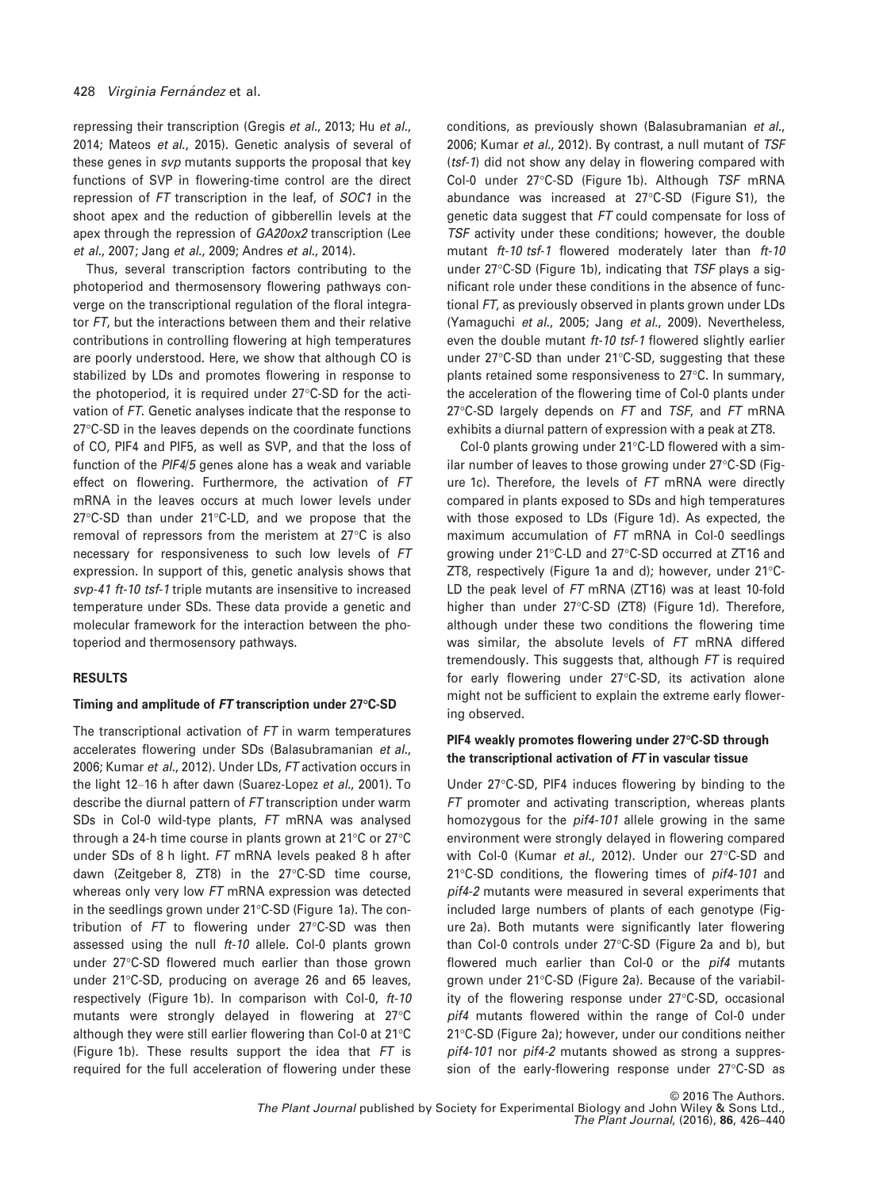repressing their transcription (Gregis et al., 2013; Hu et al., 2014; Mateos et al., 2015). Genetic analysis of several of these genes in svp mutants supports the proposal that key functions of SVP in flowering-time control are the direct repression of FT transcription in the leaf, of SOC1 in the shoot apex and the reduction of gibberellin levels at the apex through the repression of GA20ox2 transcription (Lee et al., 2007; Jang et al., 2009; Andres et al., 2014).

Thus, several transcription factors contributing to the photoperiod and thermosensory flowering pathways converge on the transcriptional regulation of the floral integrator FT, but the interactions between them and their relative contributions in controlling flowering at high temperatures are poorly understood. Here, we show that although CO is stabilized by LDs and promotes flowering in response to the photoperiod, it is required under 27°C-SD for the activation of FT. Genetic analyses indicate that the response to 27°C-SD in the leaves depends on the coordinate functions of CO, PIF4 and PIF5, as well as SVP, and that the loss of function of the PIF4/5 genes alone has a weak and variable effect on flowering. Furthermore, the activation of FT mRNA in the leaves occurs at much lower levels under 27°C-SD than under 21°C-LD, and we propose that the removal of repressors from the meristem at 27°C is also necessary for responsiveness to such low levels of FT expression. In support of this, genetic analysis shows that svp-41 ft-10 tsf-1 triple mutants are insensitive to increased temperature under SDs. These data provide a genetic and molecular framework for the interaction between the photoperiod and thermosensory pathways.

# RESULTS

#### Timing and amplitude of FT transcription under 27°C-SD

The transcriptional activation of FT in warm temperatures accelerates flowering under SDs (Balasubramanian et al., 2006; Kumar et al., 2012). Under LDs, FT activation occurs in the light 12–16 h after dawn (Suarez-Lopez et al., 2001). To describe the diurnal pattern of FT transcription under warm SDs in Col-0 wild-type plants, FT mRNA was analysed through a 24-h time course in plants grown at 21°C or 27°C under SDs of 8 h light. FT mRNA levels peaked 8 h after dawn (Zeitgeber 8, ZT8) in the 27°C-SD time course, whereas only very low FT mRNA expression was detected in the seedlings grown under 21°C-SD (Figure 1a). The contribution of FT to flowering under 27°C-SD was then assessed using the null  $ft-10$  allele. Col-0 plants grown under 27°C-SD flowered much earlier than those grown under 21°C-SD, producing on average 26 and 65 leaves, respectively (Figure 1b). In comparison with Col-0, ft-10 mutants were strongly delayed in flowering at 27°C although they were still earlier flowering than Col-0 at 21°C (Figure 1b). These results support the idea that FT is required for the full acceleration of flowering under these

conditions, as previously shown (Balasubramanian et al., 2006; Kumar et al., 2012). By contrast, a null mutant of TSF (tsf-1) did not show any delay in flowering compared with Col-0 under 27°C-SD (Figure 1b). Although TSF mRNA abundance was increased at 27°C-SD (Figure S1), the genetic data suggest that FT could compensate for loss of TSF activity under these conditions; however, the double mutant ft-10 tsf-1 flowered moderately later than ft-10 under 27°C-SD (Figure 1b), indicating that TSF plays a significant role under these conditions in the absence of functional FT, as previously observed in plants grown under LDs (Yamaguchi et al., 2005; Jang et al., 2009). Nevertheless, even the double mutant ft-10 tsf-1 flowered slightly earlier under 27°C-SD than under 21°C-SD, suggesting that these plants retained some responsiveness to 27°C. In summary, the acceleration of the flowering time of Col-0 plants under 27°C-SD largely depends on FT and TSF, and FT mRNA exhibits a diurnal pattern of expression with a peak at ZT8.

Col-0 plants growing under 21°C-LD flowered with a similar number of leaves to those growing under 27°C-SD (Figure 1c). Therefore, the levels of FT mRNA were directly compared in plants exposed to SDs and high temperatures with those exposed to LDs (Figure 1d). As expected, the maximum accumulation of FT mRNA in Col-0 seedlings growing under 21°C-LD and 27°C-SD occurred at ZT16 and ZT8, respectively (Figure 1a and d); however, under 21°C-LD the peak level of FT mRNA (ZT16) was at least 10-fold higher than under 27°C-SD (ZT8) (Figure 1d). Therefore, although under these two conditions the flowering time was similar, the absolute levels of FT mRNA differed tremendously. This suggests that, although FT is required for early flowering under 27°C-SD, its activation alone might not be sufficient to explain the extreme early flowering observed.

# PIF4 weakly promotes flowering under 27°C-SD through the transcriptional activation of FT in vascular tissue

Under 27°C-SD, PIF4 induces flowering by binding to the FT promoter and activating transcription, whereas plants homozygous for the *pif4-101* allele growing in the same environment were strongly delayed in flowering compared with Col-0 (Kumar et al., 2012). Under our 27°C-SD and 21°C-SD conditions, the flowering times of pif4-101 and pif4-2 mutants were measured in several experiments that included large numbers of plants of each genotype (Figure 2a). Both mutants were significantly later flowering than Col-0 controls under 27°C-SD (Figure 2a and b), but flowered much earlier than Col-0 or the *pif4* mutants grown under 21°C-SD (Figure 2a). Because of the variability of the flowering response under 27°C-SD, occasional pif4 mutants flowered within the range of Col-0 under 21°C-SD (Figure 2a); however, under our conditions neither pif4-101 nor pif4-2 mutants showed as strong a suppression of the early-flowering response under 27°C-SD as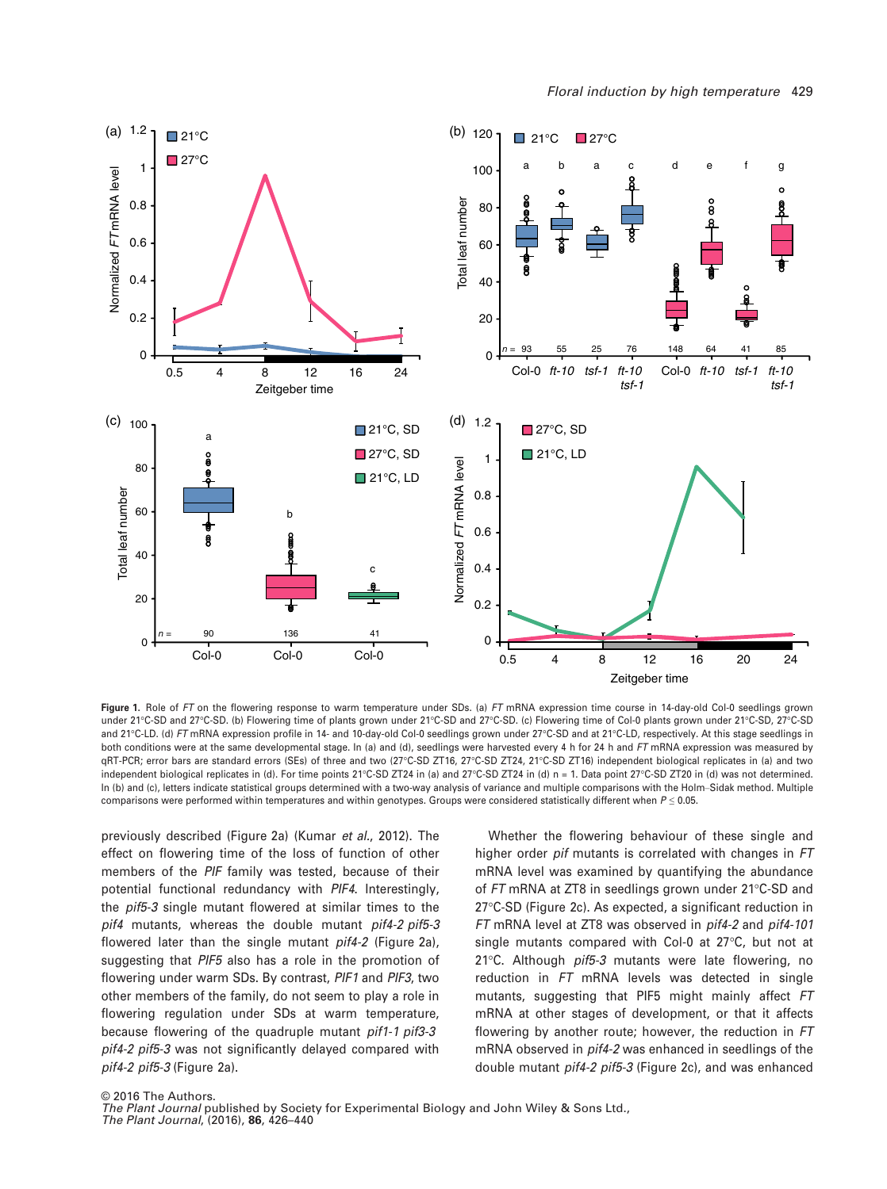

Figure 1. Role of FT on the flowering response to warm temperature under SDs. (a) FT mRNA expression time course in 14-day-old Col-0 seedlings grown under 21°C-SD and 27°C-SD. (b) Flowering time of plants grown under 21°C-SD and 27°C-SD. (c) Flowering time of Col-0 plants grown under 21°C-SD, 27°C-SD and 21°C-LD. (d) FT mRNA expression profile in 14- and 10-day-old Col-0 seedlings grown under 27°C-SD and at 21°C-LD, respectively. At this stage seedlings in both conditions were at the same developmental stage. In (a) and (d), seedlings were harvested every 4 h for 24 h and FT mRNA expression was measured by qRT-PCR; error bars are standard errors (SEs) of three and two (27°C-SD ZT16, 27°C-SD ZT24, 21°C-SD ZT16) independent biological replicates in (a) and two independent biological replicates in (d). For time points 21°C-SD ZT24 in (a) and 27°C-SD ZT24 in (d) n = 1. Data point 27°C-SD ZT20 in (d) was not determined. In (b) and (c), letters indicate statistical groups determined with a two-way analysis of variance and multiple comparisons with the Holm–Sidak method. Multiple comparisons were performed within temperatures and within genotypes. Groups were considered statistically different when  $P \le 0.05$ .

previously described (Figure 2a) (Kumar et al., 2012). The effect on flowering time of the loss of function of other members of the PIF family was tested, because of their potential functional redundancy with PIF4. Interestingly, the pif5-3 single mutant flowered at similar times to the pif4 mutants, whereas the double mutant pif4-2 pif5-3 flowered later than the single mutant pif4-2 (Figure 2a), suggesting that PIF5 also has a role in the promotion of flowering under warm SDs. By contrast, PIF1 and PIF3, two other members of the family, do not seem to play a role in flowering regulation under SDs at warm temperature, because flowering of the quadruple mutant pif1-1 pif3-3 pif4-2 pif5-3 was not significantly delayed compared with pif4-2 pif5-3 (Figure 2a).

Whether the flowering behaviour of these single and higher order *pif* mutants is correlated with changes in FT mRNA level was examined by quantifying the abundance of FT mRNA at ZT8 in seedlings grown under 21°C-SD and 27°C-SD (Figure 2c). As expected, a significant reduction in FT mRNA level at ZT8 was observed in pif4-2 and pif4-101 single mutants compared with Col-0 at 27°C, but not at 21°C. Although pif5-3 mutants were late flowering, no reduction in FT mRNA levels was detected in single mutants, suggesting that PIF5 might mainly affect FT mRNA at other stages of development, or that it affects flowering by another route; however, the reduction in FT mRNA observed in pif4-2 was enhanced in seedlings of the double mutant pif4-2 pif5-3 (Figure 2c), and was enhanced

© 2016 The Authors.

The Plant Journal published by Society for Experimental Biology and John Wiley & Sons Ltd., The Plant Journal, (2016), 86, 426–440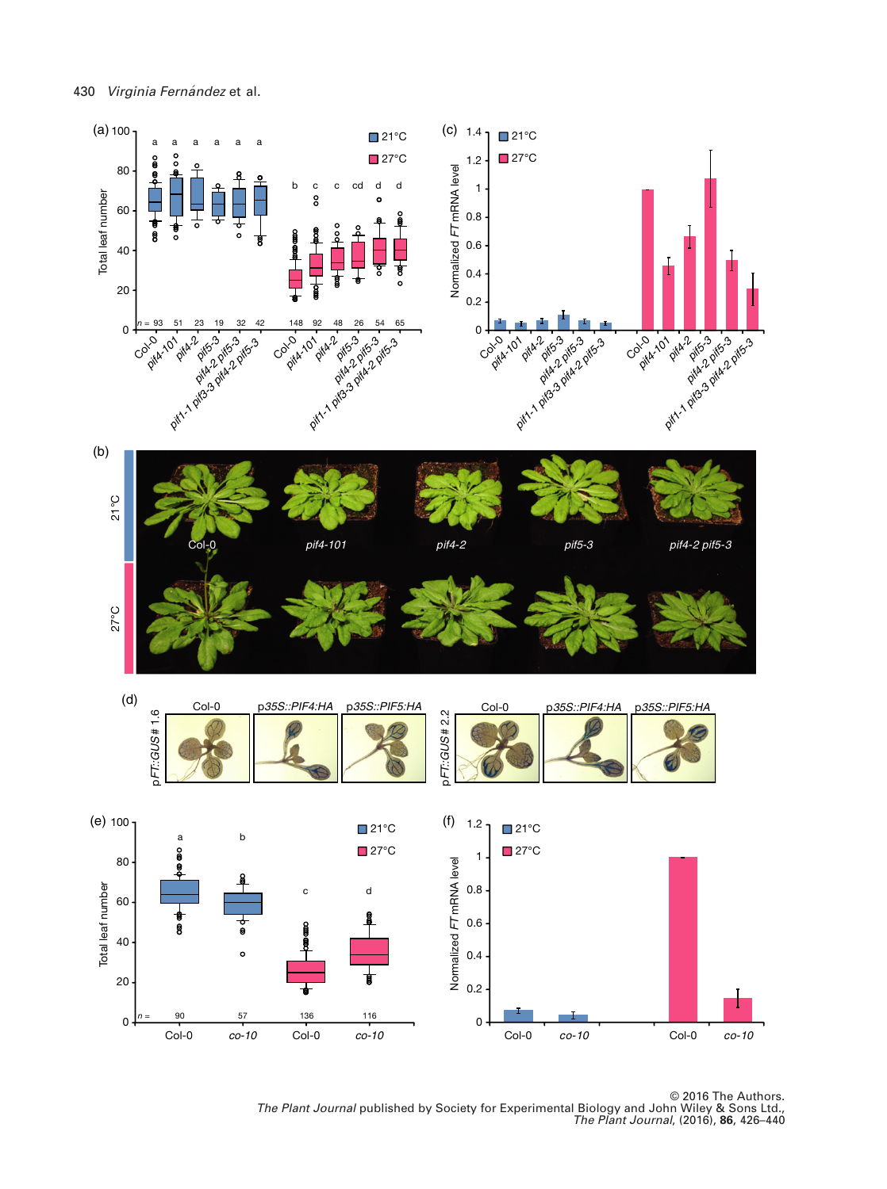

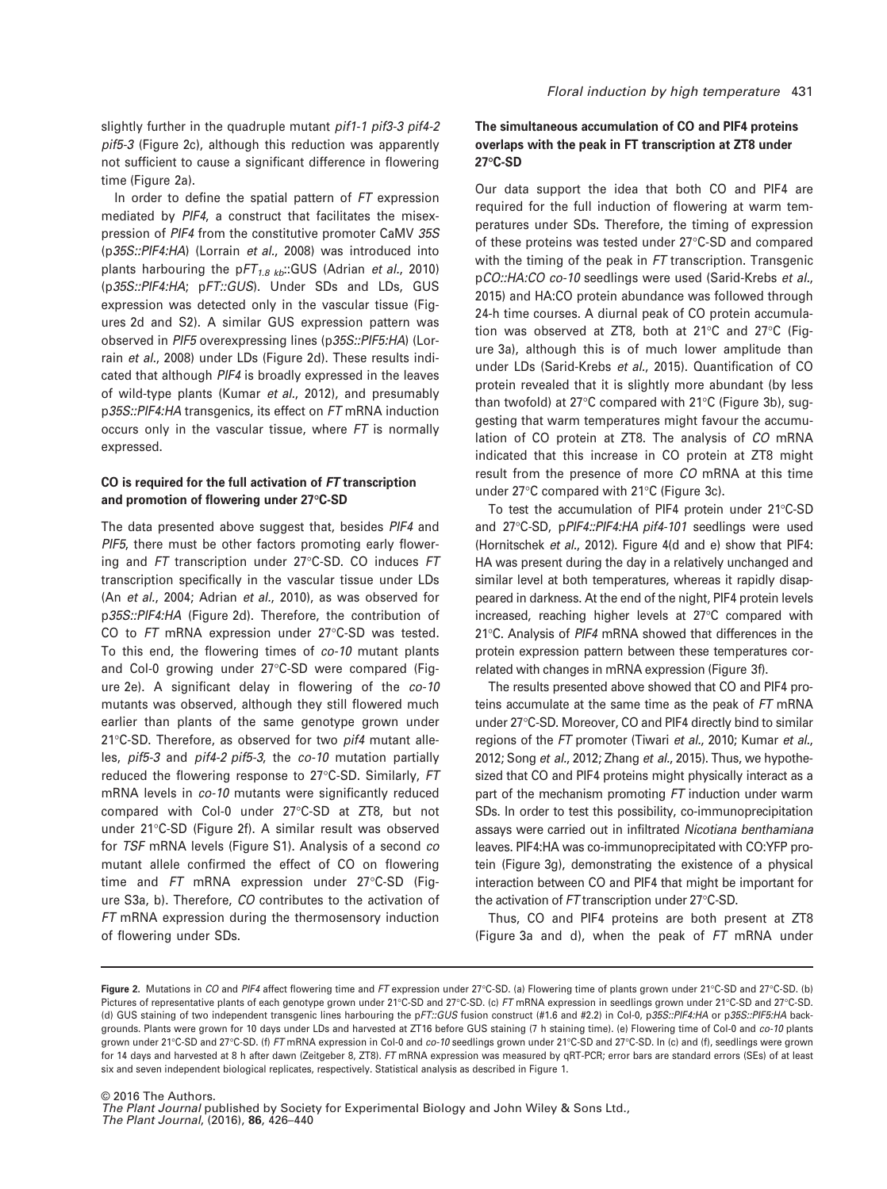slightly further in the quadruple mutant pif1-1 pif3-3 pif4-2 pif5-3 (Figure 2c), although this reduction was apparently not sufficient to cause a significant difference in flowering time (Figure 2a).

In order to define the spatial pattern of FT expression mediated by PIF4, a construct that facilitates the misexpression of PIF4 from the constitutive promoter CaMV 35S (p35S::PIF4:HA) (Lorrain et al., 2008) was introduced into plants harbouring the  $pFT_{1.8 \text{ kb}}$ :GUS (Adrian *et al.*, 2010) (p35S::PIF4:HA; pFT::GUS). Under SDs and LDs, GUS expression was detected only in the vascular tissue (Figures 2d and S2). A similar GUS expression pattern was observed in PIF5 overexpressing lines (p35S::PIF5:HA) (Lorrain et al., 2008) under LDs (Figure 2d). These results indicated that although PIF4 is broadly expressed in the leaves of wild-type plants (Kumar et al., 2012), and presumably p35S::PIF4:HA transgenics, its effect on FT mRNA induction occurs only in the vascular tissue, where FT is normally expressed.

# CO is required for the full activation of FT transcription and promotion of flowering under 27°C-SD

The data presented above suggest that, besides PIF4 and PIF5, there must be other factors promoting early flowering and FT transcription under 27°C-SD. CO induces FT transcription specifically in the vascular tissue under LDs (An et al., 2004; Adrian et al., 2010), as was observed for p35S::PIF4:HA (Figure 2d). Therefore, the contribution of CO to FT mRNA expression under 27°C-SD was tested. To this end, the flowering times of co-10 mutant plants and Col-0 growing under 27°C-SD were compared (Figure 2e). A significant delay in flowering of the co-10 mutants was observed, although they still flowered much earlier than plants of the same genotype grown under 21 $^{\circ}$ C-SD. Therefore, as observed for two *pif4* mutant alleles, pif5-3 and pif4-2 pif5-3, the co-10 mutation partially reduced the flowering response to 27°C-SD. Similarly, FT mRNA levels in co-10 mutants were significantly reduced compared with Col-0 under 27°C-SD at ZT8, but not under 21°C-SD (Figure 2f). A similar result was observed for TSF mRNA levels (Figure S1). Analysis of a second co mutant allele confirmed the effect of CO on flowering time and FT mRNA expression under 27°C-SD (Figure S3a, b). Therefore, CO contributes to the activation of FT mRNA expression during the thermosensory induction of flowering under SDs.

# The simultaneous accumulation of CO and PIF4 proteins overlaps with the peak in FT transcription at ZT8 under 27°C-SD

Our data support the idea that both CO and PIF4 are required for the full induction of flowering at warm temperatures under SDs. Therefore, the timing of expression of these proteins was tested under 27°C-SD and compared with the timing of the peak in FT transcription. Transgenic pCO::HA:CO co-10 seedlings were used (Sarid-Krebs et al., 2015) and HA:CO protein abundance was followed through 24-h time courses. A diurnal peak of CO protein accumulation was observed at ZT8, both at 21°C and 27°C (Figure 3a), although this is of much lower amplitude than under LDs (Sarid-Krebs et al., 2015). Quantification of CO protein revealed that it is slightly more abundant (by less than twofold) at 27°C compared with 21°C (Figure 3b), suggesting that warm temperatures might favour the accumulation of CO protein at ZT8. The analysis of CO mRNA indicated that this increase in CO protein at ZT8 might result from the presence of more CO mRNA at this time under 27°C compared with 21°C (Figure 3c).

To test the accumulation of PIF4 protein under 21°C-SD and 27°C-SD, pPIF4::PIF4:HA pif4-101 seedlings were used (Hornitschek et al., 2012). Figure 4(d and e) show that PIF4: HA was present during the day in a relatively unchanged and similar level at both temperatures, whereas it rapidly disappeared in darkness. At the end of the night, PIF4 protein levels increased, reaching higher levels at 27°C compared with 21°C. Analysis of PIF4 mRNA showed that differences in the protein expression pattern between these temperatures correlated with changes in mRNA expression (Figure 3f).

The results presented above showed that CO and PIF4 proteins accumulate at the same time as the peak of FT mRNA under 27°C-SD. Moreover, CO and PIF4 directly bind to similar regions of the FT promoter (Tiwari et al., 2010; Kumar et al., 2012; Song et al., 2012; Zhang et al., 2015). Thus, we hypothesized that CO and PIF4 proteins might physically interact as a part of the mechanism promoting FT induction under warm SDs. In order to test this possibility, co-immunoprecipitation assays were carried out in infiltrated Nicotiana benthamiana leaves. PIF4:HA was co-immunoprecipitated with CO:YFP protein (Figure 3g), demonstrating the existence of a physical interaction between CO and PIF4 that might be important for the activation of FT transcription under 27°C-SD.

Thus, CO and PIF4 proteins are both present at ZT8 (Figure 3a and d), when the peak of FT mRNA under

Figure 2. Mutations in CO and PIF4 affect flowering time and FT expression under 27°C-SD. (a) Flowering time of plants grown under 21°C-SD and 27°C-SD. (b) Pictures of representative plants of each genotype grown under 21°C-SD and 27°C-SD. (c) FT mRNA expression in seedlings grown under 21°C-SD and 27°C-SD. (d) GUS staining of two independent transgenic lines harbouring the pFT::GUS fusion construct (#1.6 and #2.2) in Col-0, p35S::PIF4:HA or p35S::PIF5:HA backgrounds. Plants were grown for 10 days under LDs and harvested at ZT16 before GUS staining (7 h staining time). (e) Flowering time of Col-0 and co-10 plants grown under 21°C-SD and 27°C-SD. (f) FT mRNA expression in Col-0 and co-10 seedlings grown under 21°C-SD and 27°C-SD. In (c) and (f), seedlings were grown for 14 days and harvested at 8 h after dawn (Zeitgeber 8, ZT8). FT mRNA expression was measured by qRT-PCR; error bars are standard errors (SEs) of at least six and seven independent biological replicates, respectively. Statistical analysis as described in Figure 1.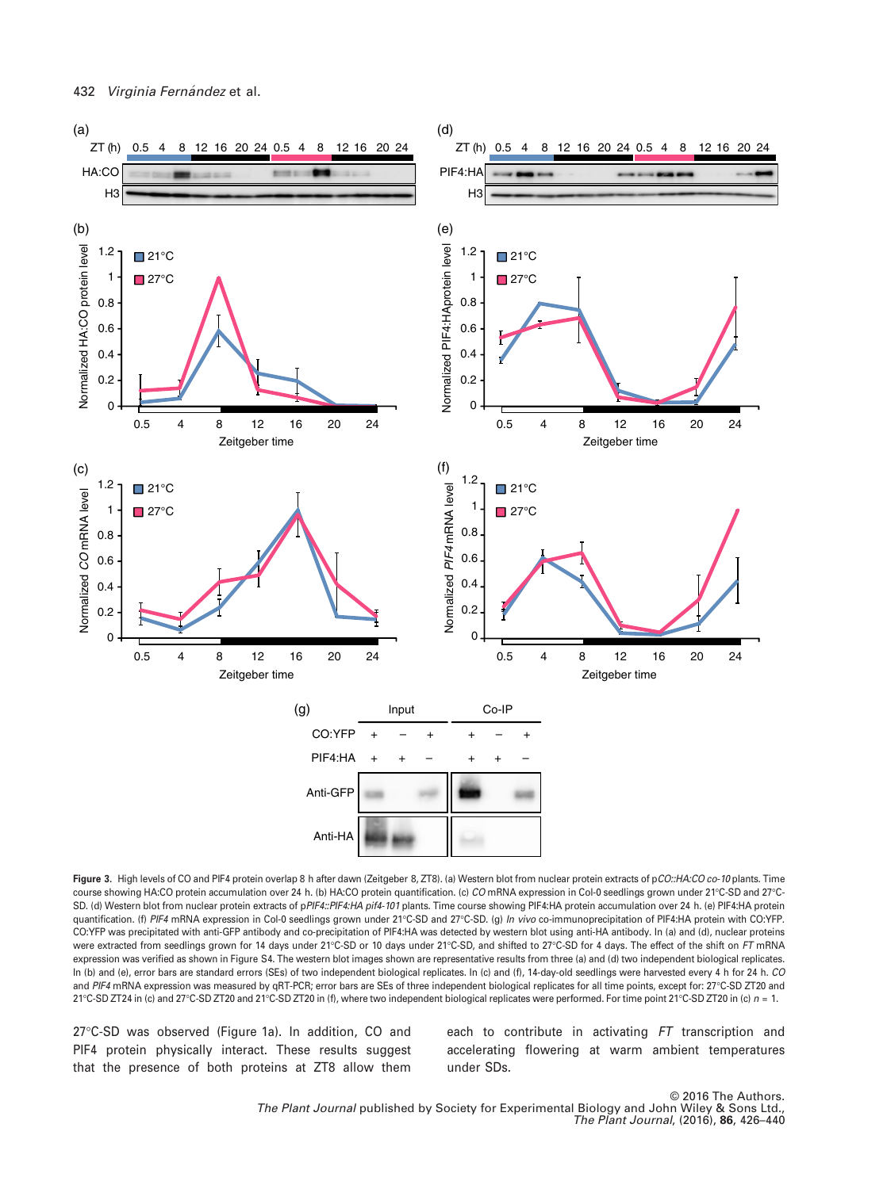

Figure 3. High levels of CO and PIF4 protein overlap 8 h after dawn (Zeitgeber 8, ZT8). (a) Western blot from nuclear protein extracts of pCO::HA:CO co-10 plants. Time course showing HA:CO protein accumulation over 24 h. (b) HA:CO protein quantification. (c) CO mRNA expression in Col-0 seedlings grown under 21°C-SD and 27°C-SD. (d) Western blot from nuclear protein extracts of pPIF4::PIF4:HA pif4-101 plants. Time course showing PIF4:HA protein accumulation over 24 h. (e) PIF4:HA protein quantification. (f) PIF4 mRNA expression in Col-0 seedlings grown under 21°C-SD and 27°C-SD. (g) In vivo co-immunoprecipitation of PIF4:HA protein with CO:YFP. CO:YFP was precipitated with anti-GFP antibody and co-precipitation of PIF4:HA was detected by western blot using anti-HA antibody. In (a) and (d), nuclear proteins were extracted from seedlings grown for 14 days under 21°C-SD or 10 days under 21°C-SD, and shifted to 27°C-SD for 4 days. The effect of the shift on FT mRNA expression was verified as shown in Figure S4. The western blot images shown are representative results from three (a) and (d) two independent biological replicates. In (b) and (e), error bars are standard errors (SEs) of two independent biological replicates. In (c) and (f), 14-day-old seedlings were harvested every 4 h for 24 h. CO and PIF4 mRNA expression was measured by qRT-PCR; error bars are SEs of three independent biological replicates for all time points, except for: 27°C-SD ZT20 and 21°C-SD ZT24 in (c) and 27°C-SD ZT20 and 21°C-SD ZT20 in (f), where two independent biological replicates were performed. For time point 21°C-SD ZT20 in (c)  $n = 1$ .

27°C-SD was observed (Figure 1a). In addition, CO and PIF4 protein physically interact. These results suggest that the presence of both proteins at ZT8 allow them each to contribute in activating FT transcription and accelerating flowering at warm ambient temperatures under SDs.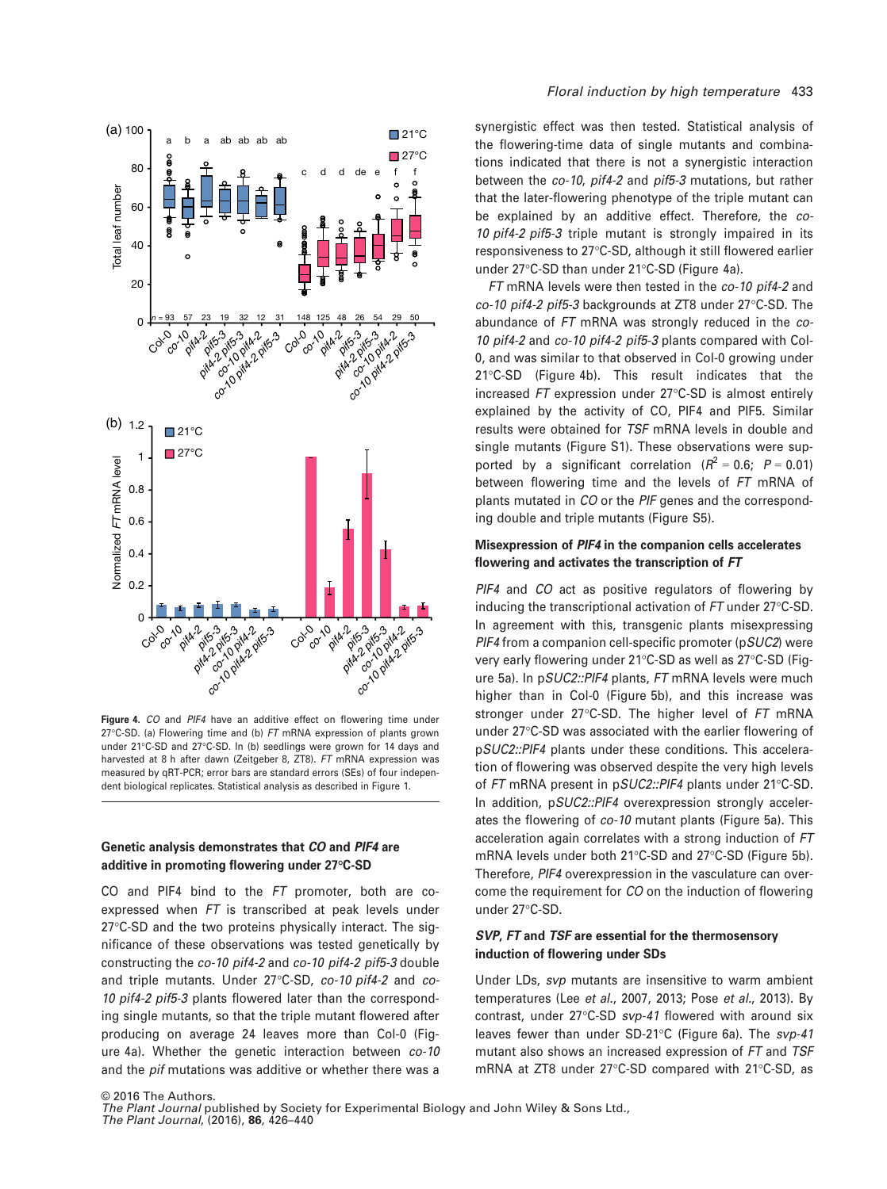

Figure 4. CO and PIF4 have an additive effect on flowering time under  $27^{\circ}$ C-SD. (a) Flowering time and (b) FT mRNA expression of plants grown under 21°C-SD and 27°C-SD. In (b) seedlings were grown for 14 days and harvested at 8 h after dawn (Zeitgeber 8, ZT8). FT mRNA expression was measured by qRT-PCR; error bars are standard errors (SEs) of four independent biological replicates. Statistical analysis as described in Figure 1.

# Genetic analysis demonstrates that CO and PIF4 are additive in promoting flowering under 27°C-SD

CO and PIF4 bind to the FT promoter, both are coexpressed when FT is transcribed at peak levels under 27°C-SD and the two proteins physically interact. The significance of these observations was tested genetically by constructing the co-10 pif4-2 and co-10 pif4-2 pif5-3 double and triple mutants. Under 27°C-SD, co-10 pif4-2 and co-10 pif4-2 pif5-3 plants flowered later than the corresponding single mutants, so that the triple mutant flowered after producing on average 24 leaves more than Col-0 (Figure 4a). Whether the genetic interaction between co-10 and the pif mutations was additive or whether there was a

# Floral induction by high temperature 433

synergistic effect was then tested. Statistical analysis of the flowering-time data of single mutants and combinations indicated that there is not a synergistic interaction between the co-10, pif4-2 and pif5-3 mutations, but rather that the later-flowering phenotype of the triple mutant can be explained by an additive effect. Therefore, the co-10 pif4-2 pif5-3 triple mutant is strongly impaired in its responsiveness to 27°C-SD, although it still flowered earlier under 27°C-SD than under 21°C-SD (Figure 4a).

FT mRNA levels were then tested in the co-10 pif4-2 and co-10 pif4-2 pif5-3 backgrounds at ZT8 under 27°C-SD. The abundance of FT mRNA was strongly reduced in the co-10 pif4-2 and co-10 pif4-2 pif5-3 plants compared with Col-0, and was similar to that observed in Col-0 growing under 21°C-SD (Figure 4b). This result indicates that the increased FT expression under 27°C-SD is almost entirely explained by the activity of CO, PIF4 and PIF5. Similar results were obtained for TSF mRNA levels in double and single mutants (Figure S1). These observations were supported by a significant correlation  $(R^2 = 0.6; P = 0.01)$ between flowering time and the levels of FT mRNA of plants mutated in CO or the PIF genes and the corresponding double and triple mutants (Figure S5).

# Misexpression of PIF4 in the companion cells accelerates flowering and activates the transcription of FT

PIF4 and CO act as positive regulators of flowering by inducing the transcriptional activation of FT under 27°C-SD. In agreement with this, transgenic plants misexpressing PIF4 from a companion cell-specific promoter (pSUC2) were very early flowering under 21°C-SD as well as 27°C-SD (Figure 5a). In pSUC2::PIF4 plants, FT mRNA levels were much higher than in Col-0 (Figure 5b), and this increase was stronger under 27°C-SD. The higher level of FT mRNA under 27°C-SD was associated with the earlier flowering of pSUC2::PIF4 plants under these conditions. This acceleration of flowering was observed despite the very high levels of FT mRNA present in pSUC2::PIF4 plants under 21°C-SD. In addition, pSUC2::PIF4 overexpression strongly accelerates the flowering of co-10 mutant plants (Figure 5a). This acceleration again correlates with a strong induction of FT mRNA levels under both 21°C-SD and 27°C-SD (Figure 5b). Therefore, PIF4 overexpression in the vasculature can overcome the requirement for CO on the induction of flowering under 27°C-SD.

# SVP, FT and TSF are essential for the thermosensory induction of flowering under SDs

Under LDs, svp mutants are insensitive to warm ambient temperatures (Lee et al., 2007, 2013; Pose et al., 2013). By contrast, under 27°C-SD svp-41 flowered with around six leaves fewer than under SD-21°C (Figure 6a). The svp-41 mutant also shows an increased expression of FT and TSF mRNA at ZT8 under 27°C-SD compared with 21°C-SD, as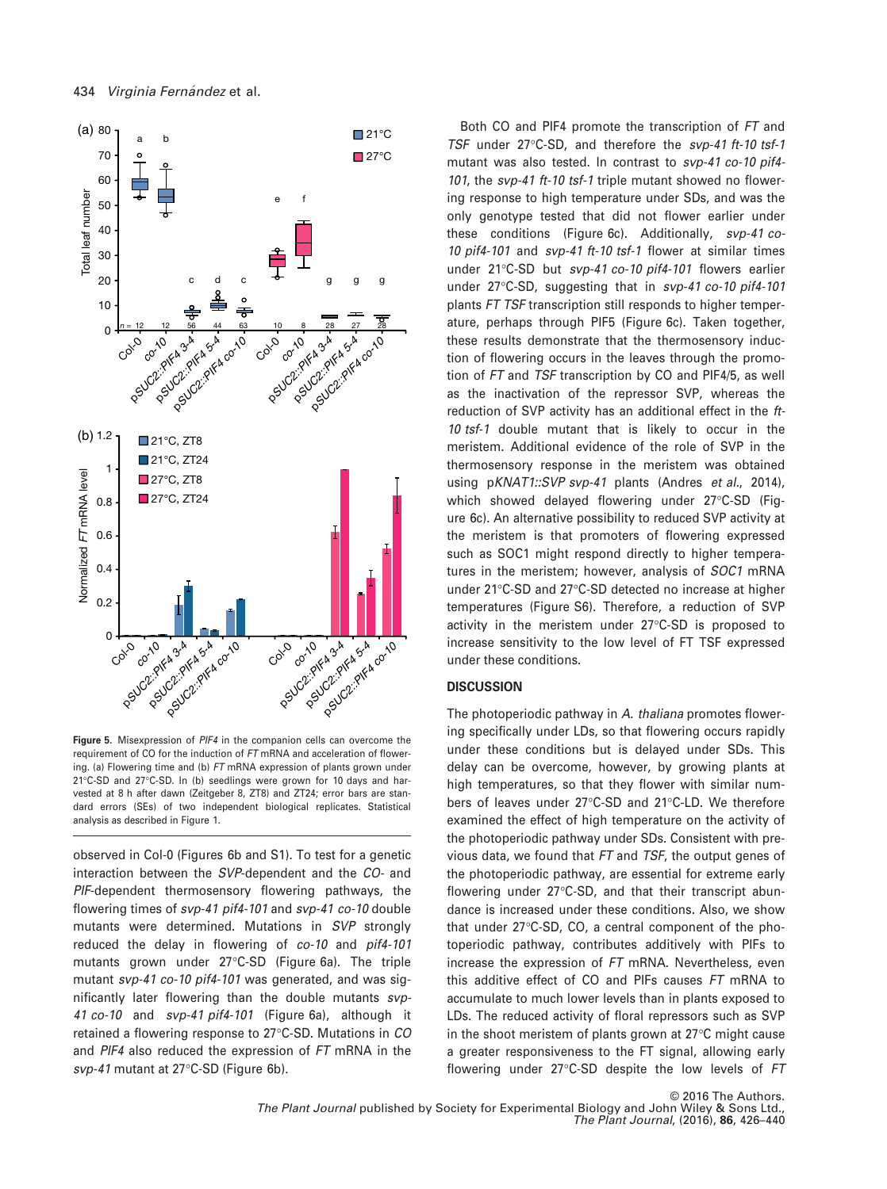

Figure 5. Misexpression of PIF4 in the companion cells can overcome the requirement of CO for the induction of FT mRNA and acceleration of flowering. (a) Flowering time and (b) FT mRNA expression of plants grown under 21°C-SD and 27°C-SD. In (b) seedlings were grown for 10 days and harvested at 8 h after dawn (Zeitgeber 8, ZT8) and ZT24; error bars are standard errors (SEs) of two independent biological replicates. Statistical analysis as described in Figure 1.

observed in Col-0 (Figures 6b and S1). To test for a genetic interaction between the SVP-dependent and the CO- and PIF-dependent thermosensory flowering pathways, the flowering times of svp-41 pif4-101 and svp-41 co-10 double mutants were determined. Mutations in SVP strongly reduced the delay in flowering of co-10 and pif4-101 mutants grown under 27°C-SD (Figure 6a). The triple mutant svp-41 co-10 pif4-101 was generated, and was significantly later flowering than the double mutants svp-41 co-10 and svp-41 pif4-101 (Figure 6a), although it retained a flowering response to 27°C-SD. Mutations in CO and PIF4 also reduced the expression of FT mRNA in the svp-41 mutant at 27°C-SD (Figure 6b).

Both CO and PIF4 promote the transcription of FT and TSF under 27°C-SD, and therefore the svp-41 ft-10 tsf-1 mutant was also tested. In contrast to svp-41 co-10 pif4- 101, the svp-41 ft-10 tsf-1 triple mutant showed no flowering response to high temperature under SDs, and was the only genotype tested that did not flower earlier under these conditions (Figure 6c). Additionally, svp-41 co-10 pif4-101 and svp-41 ft-10 tsf-1 flower at similar times under 21°C-SD but svp-41 co-10 pif4-101 flowers earlier under 27°C-SD, suggesting that in svp-41 co-10 pif4-101 plants FT TSF transcription still responds to higher temperature, perhaps through PIF5 (Figure 6c). Taken together, these results demonstrate that the thermosensory induction of flowering occurs in the leaves through the promotion of FT and TSF transcription by CO and PIF4/5, as well as the inactivation of the repressor SVP, whereas the reduction of SVP activity has an additional effect in the ft-10 tsf-1 double mutant that is likely to occur in the meristem. Additional evidence of the role of SVP in the thermosensory response in the meristem was obtained using pKNAT1::SVP svp-41 plants (Andres et al., 2014), which showed delayed flowering under 27°C-SD (Figure 6c). An alternative possibility to reduced SVP activity at the meristem is that promoters of flowering expressed such as SOC1 might respond directly to higher temperatures in the meristem; however, analysis of SOC1 mRNA under 21°C-SD and 27°C-SD detected no increase at higher temperatures (Figure S6). Therefore, a reduction of SVP activity in the meristem under 27°C-SD is proposed to increase sensitivity to the low level of FT TSF expressed under these conditions.

# **DISCUSSION**

The photoperiodic pathway in A. thaliana promotes flowering specifically under LDs, so that flowering occurs rapidly under these conditions but is delayed under SDs. This delay can be overcome, however, by growing plants at high temperatures, so that they flower with similar numbers of leaves under 27°C-SD and 21°C-LD. We therefore examined the effect of high temperature on the activity of the photoperiodic pathway under SDs. Consistent with previous data, we found that FT and TSF, the output genes of the photoperiodic pathway, are essential for extreme early flowering under 27°C-SD, and that their transcript abundance is increased under these conditions. Also, we show that under 27°C-SD, CO, a central component of the photoperiodic pathway, contributes additively with PIFs to increase the expression of FT mRNA. Nevertheless, even this additive effect of CO and PIFs causes FT mRNA to accumulate to much lower levels than in plants exposed to LDs. The reduced activity of floral repressors such as SVP in the shoot meristem of plants grown at 27°C might cause a greater responsiveness to the FT signal, allowing early flowering under 27°C-SD despite the low levels of FT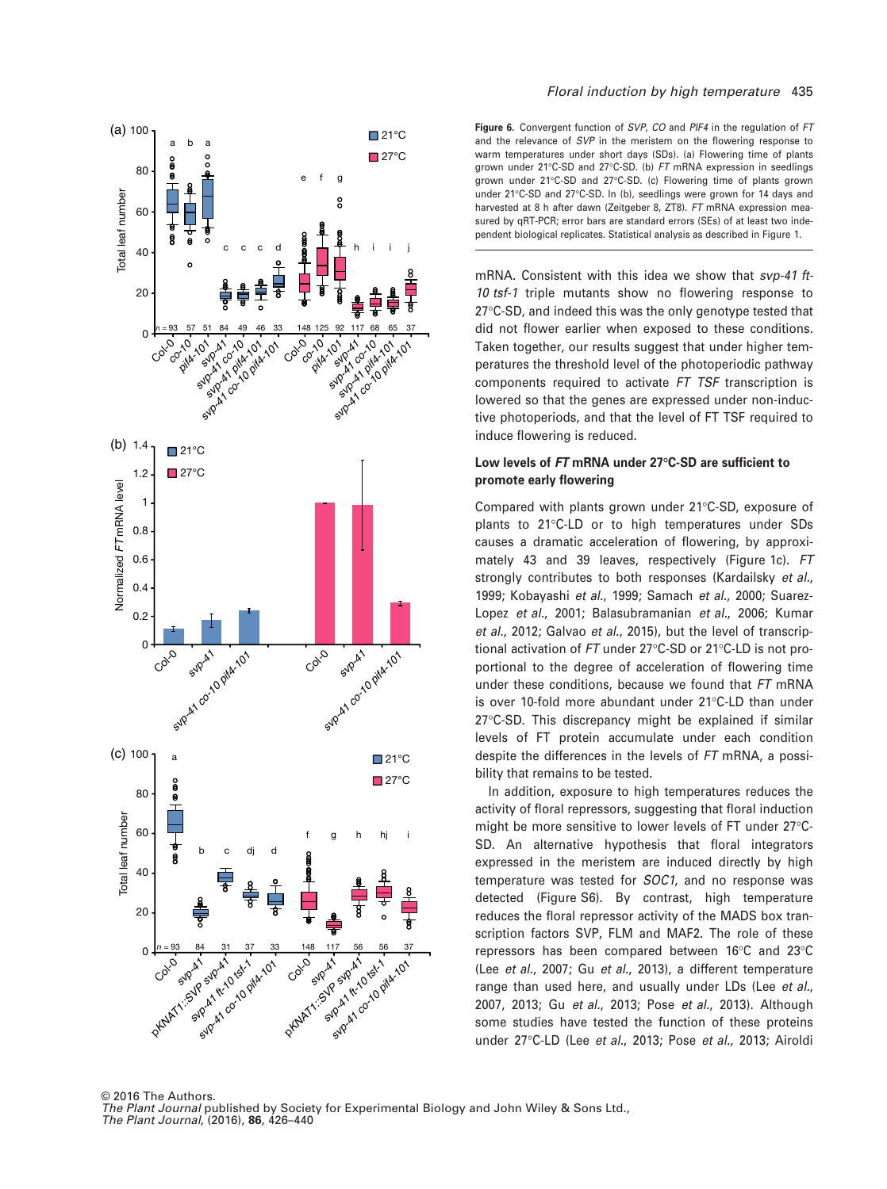

Figure 6. Convergent function of SVP, CO and PIF4 in the regulation of FT and the relevance of SVP in the meristem on the flowering response to warm temperatures under short days (SDs). (a) Flowering time of plants grown under 21°C-SD and 27°C-SD. (b) FT mRNA expression in seedlings grown under 21°C-SD and 27°C-SD. (c) Flowering time of plants grown under 21°C-SD and 27°C-SD. In (b), seedlings were grown for 14 days and harvested at 8 h after dawn (Zeitgeber 8, ZT8). FT mRNA expression measured by qRT-PCR; error bars are standard errors (SEs) of at least two independent biological replicates. Statistical analysis as described in Figure 1.

mRNA. Consistent with this idea we show that svp-41 ft-10 tsf-1 triple mutants show no flowering response to 27°C-SD, and indeed this was the only genotype tested that did not flower earlier when exposed to these conditions. Taken together, our results suggest that under higher temperatures the threshold level of the photoperiodic pathway components required to activate FT TSF transcription is lowered so that the genes are expressed under non-inductive photoperiods, and that the level of FT TSF required to induce flowering is reduced.

# Low levels of FT mRNA under 27°C-SD are sufficient to promote early flowering

Compared with plants grown under 21°C-SD, exposure of plants to 21°C-LD or to high temperatures under SDs causes a dramatic acceleration of flowering, by approximately 43 and 39 leaves, respectively (Figure 1c). FT strongly contributes to both responses (Kardailsky et al., 1999; Kobayashi et al., 1999; Samach et al., 2000; Suarez-Lopez et al., 2001; Balasubramanian et al., 2006; Kumar et al., 2012; Galvao et al., 2015), but the level of transcriptional activation of FT under 27°C-SD or 21°C-LD is not proportional to the degree of acceleration of flowering time under these conditions, because we found that FT mRNA is over 10-fold more abundant under 21°C-LD than under 27°C-SD. This discrepancy might be explained if similar levels of FT protein accumulate under each condition despite the differences in the levels of FT mRNA, a possibility that remains to be tested.

In addition, exposure to high temperatures reduces the activity of floral repressors, suggesting that floral induction might be more sensitive to lower levels of FT under 27°C-SD. An alternative hypothesis that floral integrators expressed in the meristem are induced directly by high temperature was tested for SOC1, and no response was detected (Figure S6). By contrast, high temperature reduces the floral repressor activity of the MADS box transcription factors SVP, FLM and MAF2. The role of these repressors has been compared between 16°C and 23°C (Lee et al., 2007; Gu et al., 2013), a different temperature range than used here, and usually under LDs (Lee et al., 2007, 2013; Gu et al., 2013; Pose et al., 2013). Although some studies have tested the function of these proteins under 27°C-LD (Lee et al., 2013; Pose et al., 2013; Airoldi

© 2016 The Authors. The Plant Journal published by Society for Experimental Biology and John Wiley & Sons Ltd., The Plant Journal, (2016), 86, 426–440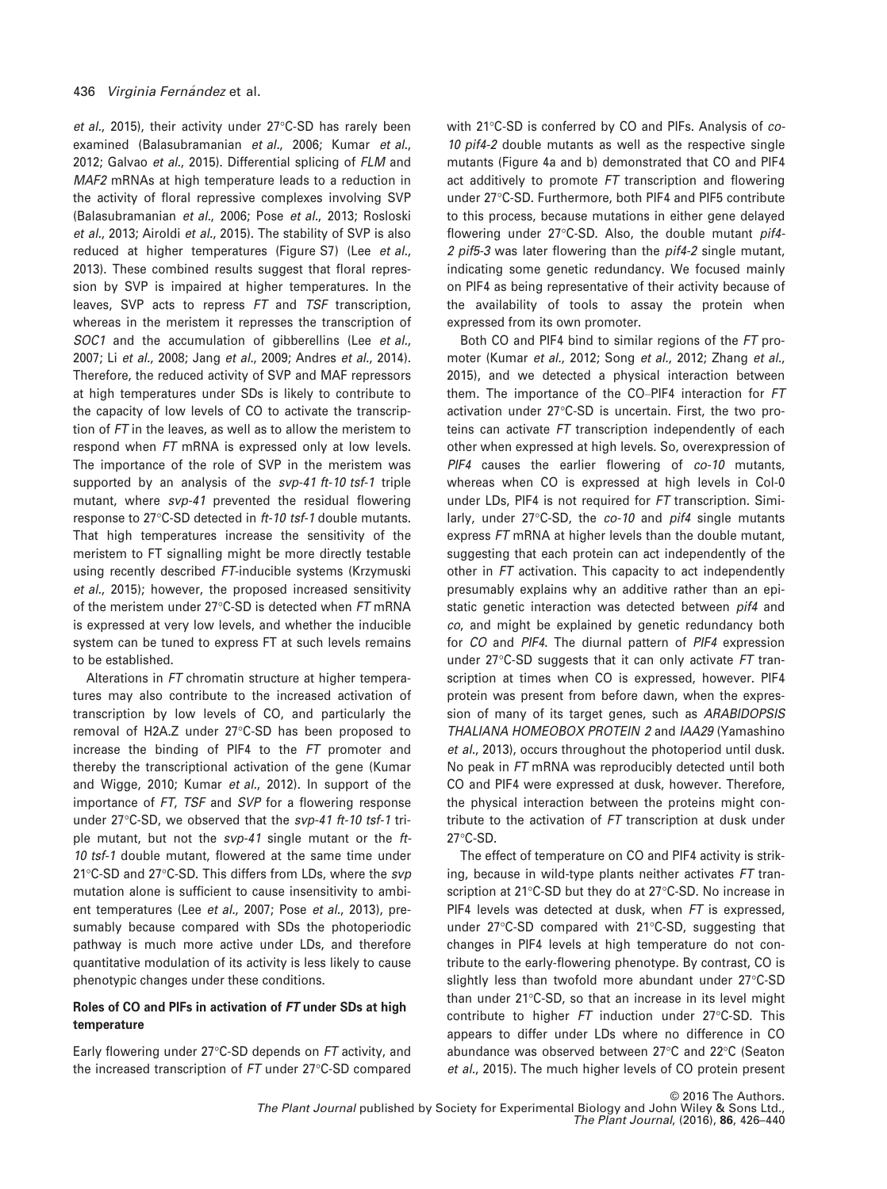et al., 2015), their activity under 27°C-SD has rarely been examined (Balasubramanian et al., 2006; Kumar et al., 2012; Galvao et al., 2015). Differential splicing of FLM and MAF2 mRNAs at high temperature leads to a reduction in the activity of floral repressive complexes involving SVP (Balasubramanian et al., 2006; Pose et al., 2013; Rosloski et al., 2013; Airoldi et al., 2015). The stability of SVP is also reduced at higher temperatures (Figure S7) (Lee et al., 2013). These combined results suggest that floral repression by SVP is impaired at higher temperatures. In the leaves, SVP acts to repress FT and TSF transcription, whereas in the meristem it represses the transcription of SOC1 and the accumulation of gibberellins (Lee et al., 2007; Li et al., 2008; Jang et al., 2009; Andres et al., 2014). Therefore, the reduced activity of SVP and MAF repressors at high temperatures under SDs is likely to contribute to the capacity of low levels of CO to activate the transcription of FT in the leaves, as well as to allow the meristem to respond when FT mRNA is expressed only at low levels. The importance of the role of SVP in the meristem was supported by an analysis of the svp-41 ft-10 tsf-1 triple mutant, where svp-41 prevented the residual flowering response to 27°C-SD detected in ft-10 tsf-1 double mutants. That high temperatures increase the sensitivity of the meristem to FT signalling might be more directly testable using recently described FT-inducible systems (Krzymuski et al., 2015); however, the proposed increased sensitivity of the meristem under 27°C-SD is detected when FT mRNA is expressed at very low levels, and whether the inducible system can be tuned to express FT at such levels remains to be established.

Alterations in FT chromatin structure at higher temperatures may also contribute to the increased activation of transcription by low levels of CO, and particularly the removal of H2A.Z under 27°C-SD has been proposed to increase the binding of PIF4 to the FT promoter and thereby the transcriptional activation of the gene (Kumar and Wigge, 2010; Kumar et al., 2012). In support of the importance of FT, TSF and SVP for a flowering response under 27°C-SD, we observed that the svp-41 ft-10 tsf-1 triple mutant, but not the  $svp-41$  single mutant or the  $ft-$ 10 tsf-1 double mutant, flowered at the same time under 21°C-SD and 27°C-SD. This differs from LDs, where the svp mutation alone is sufficient to cause insensitivity to ambient temperatures (Lee et al., 2007; Pose et al., 2013), presumably because compared with SDs the photoperiodic pathway is much more active under LDs, and therefore quantitative modulation of its activity is less likely to cause phenotypic changes under these conditions.

# Roles of CO and PIFs in activation of FT under SDs at high temperature

Early flowering under 27°C-SD depends on FT activity, and the increased transcription of FT under 27°C-SD compared with 21°C-SD is conferred by CO and PIFs. Analysis of co-10 pif4-2 double mutants as well as the respective single mutants (Figure 4a and b) demonstrated that CO and PIF4 act additively to promote FT transcription and flowering under 27°C-SD. Furthermore, both PIF4 and PIF5 contribute to this process, because mutations in either gene delayed flowering under 27°C-SD. Also, the double mutant pif4- 2 pif5-3 was later flowering than the pif4-2 single mutant, indicating some genetic redundancy. We focused mainly on PIF4 as being representative of their activity because of the availability of tools to assay the protein when expressed from its own promoter.

Both CO and PIF4 bind to similar regions of the FT promoter (Kumar et al., 2012; Song et al., 2012; Zhang et al., 2015), and we detected a physical interaction between them. The importance of the CO–PIF4 interaction for FT activation under 27°C-SD is uncertain. First, the two proteins can activate FT transcription independently of each other when expressed at high levels. So, overexpression of PIF4 causes the earlier flowering of co-10 mutants, whereas when CO is expressed at high levels in Col-0 under LDs, PIF4 is not required for FT transcription. Similarly, under  $27^{\circ}$ C-SD, the co-10 and pif4 single mutants express FT mRNA at higher levels than the double mutant, suggesting that each protein can act independently of the other in FT activation. This capacity to act independently presumably explains why an additive rather than an epistatic genetic interaction was detected between pif4 and co, and might be explained by genetic redundancy both for CO and PIF4. The diurnal pattern of PIF4 expression under 27°C-SD suggests that it can only activate FT transcription at times when CO is expressed, however. PIF4 protein was present from before dawn, when the expression of many of its target genes, such as ARABIDOPSIS THALIANA HOMEOBOX PROTEIN 2 and IAA29 (Yamashino et al., 2013), occurs throughout the photoperiod until dusk. No peak in FT mRNA was reproducibly detected until both CO and PIF4 were expressed at dusk, however. Therefore, the physical interaction between the proteins might contribute to the activation of FT transcription at dusk under 27°C-SD.

The effect of temperature on CO and PIF4 activity is striking, because in wild-type plants neither activates FT transcription at 21°C-SD but they do at 27°C-SD. No increase in PIF4 levels was detected at dusk, when FT is expressed, under 27°C-SD compared with 21°C-SD, suggesting that changes in PIF4 levels at high temperature do not contribute to the early-flowering phenotype. By contrast, CO is slightly less than twofold more abundant under 27°C-SD than under 21°C-SD, so that an increase in its level might contribute to higher FT induction under 27°C-SD. This appears to differ under LDs where no difference in CO abundance was observed between 27°C and 22°C (Seaton et al., 2015). The much higher levels of CO protein present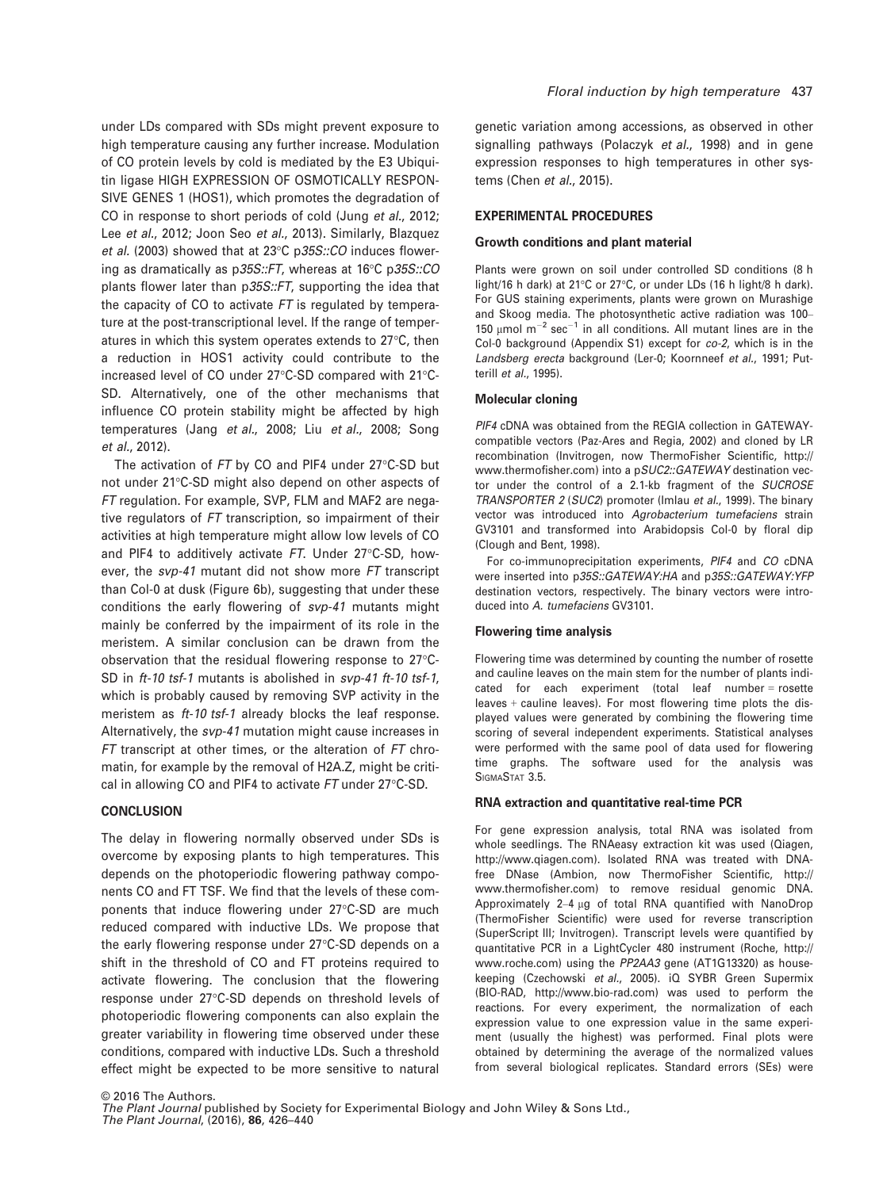under LDs compared with SDs might prevent exposure to high temperature causing any further increase. Modulation of CO protein levels by cold is mediated by the E3 Ubiquitin ligase HIGH EXPRESSION OF OSMOTICALLY RESPON-SIVE GENES 1 (HOS1), which promotes the degradation of CO in response to short periods of cold (Jung et al., 2012; Lee et al., 2012; Joon Seo et al., 2013). Similarly, Blazquez et al. (2003) showed that at 23°C p35S::CO induces flowering as dramatically as p35S::FT, whereas at 16°C p35S::CO plants flower later than p35S::FT, supporting the idea that the capacity of CO to activate FT is regulated by temperature at the post-transcriptional level. If the range of temperatures in which this system operates extends to 27°C, then a reduction in HOS1 activity could contribute to the increased level of CO under 27°C-SD compared with 21°C-SD. Alternatively, one of the other mechanisms that influence CO protein stability might be affected by high temperatures (Jang et al., 2008; Liu et al., 2008; Song et al., 2012).

The activation of FT by CO and PIF4 under 27°C-SD but not under 21°C-SD might also depend on other aspects of FT regulation. For example, SVP, FLM and MAF2 are negative regulators of FT transcription, so impairment of their activities at high temperature might allow low levels of CO and PIF4 to additively activate FT. Under 27°C-SD, however, the svp-41 mutant did not show more FT transcript than Col-0 at dusk (Figure 6b), suggesting that under these conditions the early flowering of svp-41 mutants might mainly be conferred by the impairment of its role in the meristem. A similar conclusion can be drawn from the observation that the residual flowering response to 27°C-SD in ft-10 tsf-1 mutants is abolished in svp-41 ft-10 tsf-1. which is probably caused by removing SVP activity in the meristem as ft-10 tsf-1 already blocks the leaf response. Alternatively, the svp-41 mutation might cause increases in FT transcript at other times, or the alteration of FT chromatin, for example by the removal of H2A.Z, might be critical in allowing CO and PIF4 to activate FT under 27°C-SD.

# **CONCLUSION**

The delay in flowering normally observed under SDs is overcome by exposing plants to high temperatures. This depends on the photoperiodic flowering pathway components CO and FT TSF. We find that the levels of these components that induce flowering under 27°C-SD are much reduced compared with inductive LDs. We propose that the early flowering response under 27°C-SD depends on a shift in the threshold of CO and FT proteins required to activate flowering. The conclusion that the flowering response under 27°C-SD depends on threshold levels of photoperiodic flowering components can also explain the greater variability in flowering time observed under these conditions, compared with inductive LDs. Such a threshold effect might be expected to be more sensitive to natural genetic variation among accessions, as observed in other signalling pathways (Polaczyk et al., 1998) and in gene expression responses to high temperatures in other systems (Chen et al., 2015).

# EXPERIMENTAL PROCEDURES

# Growth conditions and plant material

Plants were grown on soil under controlled SD conditions (8 h light/16 h dark) at 21°C or 27°C, or under LDs (16 h light/8 h dark). For GUS staining experiments, plants were grown on Murashige and Skoog media. The photosynthetic active radiation was 100– 150  $\mu$ mol m<sup>-2</sup> sec<sup>-1</sup> in all conditions. All mutant lines are in the Col-0 background (Appendix S1) except for co-2, which is in the Landsberg erecta background (Ler-0; Koornneef et al., 1991; Putterill et al., 1995).

# Molecular cloning

PIF4 cDNA was obtained from the REGIA collection in GATEWAYcompatible vectors (Paz-Ares and Regia, 2002) and cloned by LR recombination (Invitrogen, now ThermoFisher Scientific, [http://](http://www.thermofisher.com) [www.thermofisher.com\)](http://www.thermofisher.com) into a pSUC2::GATEWAY destination vector under the control of a 2.1-kb fragment of the SUCROSE TRANSPORTER 2 (SUC2) promoter (Imlau et al., 1999). The binary vector was introduced into Agrobacterium tumefaciens strain GV3101 and transformed into Arabidopsis Col-0 by floral dip (Clough and Bent, 1998).

For co-immunoprecipitation experiments, PIF4 and CO cDNA were inserted into p35S::GATEWAY:HA and p35S::GATEWAY:YFP destination vectors, respectively. The binary vectors were introduced into A. tumefaciens GV3101.

# Flowering time analysis

Flowering time was determined by counting the number of rosette and cauline leaves on the main stem for the number of plants indicated for each experiment (total leaf number = rosette leaves + cauline leaves). For most flowering time plots the displayed values were generated by combining the flowering time scoring of several independent experiments. Statistical analyses were performed with the same pool of data used for flowering time graphs. The software used for the analysis was SIGMASTAT 3.5.

# RNA extraction and quantitative real-time PCR

For gene expression analysis, total RNA was isolated from whole seedlings. The RNAeasy extraction kit was used (Qiagen, [http://www.qiagen.com\)](http://www.qiagen.com). Isolated RNA was treated with DNAfree DNase (Ambion, now ThermoFisher Scientific, [http://](http://www.thermofisher.com) [www.thermofisher.com\)](http://www.thermofisher.com) to remove residual genomic DNA. Approximately 2-4 µg of total RNA quantified with NanoDrop (ThermoFisher Scientific) were used for reverse transcription (SuperScript III; Invitrogen). Transcript levels were quantified by quantitative PCR in a LightCycler 480 instrument (Roche, [http://](http://www.roche.com) [www.roche.com](http://www.roche.com)) using the PP2AA3 gene (AT1G13320) as housekeeping (Czechowski et al., 2005). iQ SYBR Green Supermix (BIO-RAD, [http://www.bio-rad.com\)](http://www.bio-rad.com) was used to perform the reactions. For every experiment, the normalization of each expression value to one expression value in the same experiment (usually the highest) was performed. Final plots were obtained by determining the average of the normalized values from several biological replicates. Standard errors (SEs) were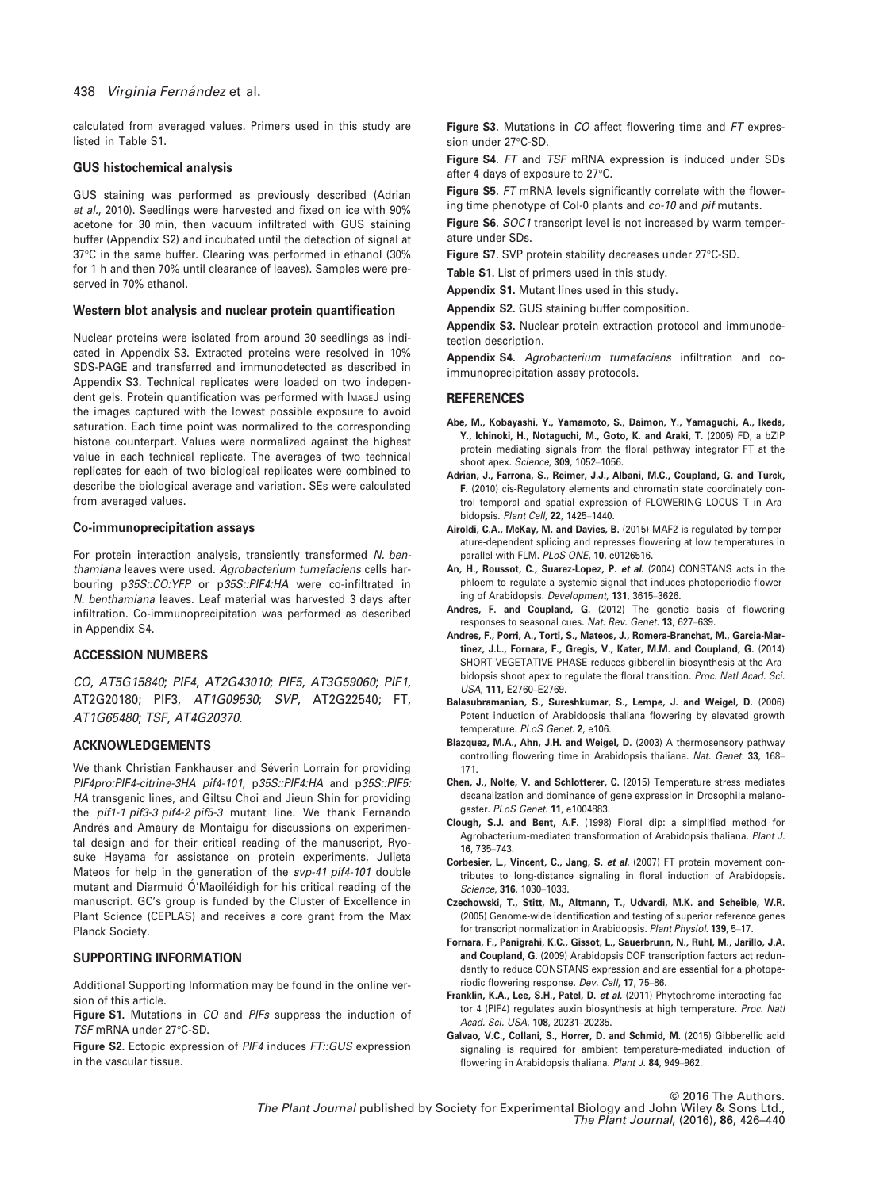#### 438 Virginia Fernández et al.

calculated from averaged values. Primers used in this study are listed in Table S1.

#### GUS histochemical analysis

GUS staining was performed as previously described (Adrian et al., 2010). Seedlings were harvested and fixed on ice with 90% acetone for 30 min, then vacuum infiltrated with GUS staining buffer (Appendix S2) and incubated until the detection of signal at 37°C in the same buffer. Clearing was performed in ethanol (30% for 1 h and then 70% until clearance of leaves). Samples were preserved in 70% ethanol.

#### Western blot analysis and nuclear protein quantification

Nuclear proteins were isolated from around 30 seedlings as indicated in Appendix S3. Extracted proteins were resolved in 10% SDS-PAGE and transferred and immunodetected as described in Appendix S3. Technical replicates were loaded on two independent gels. Protein quantification was performed with IMAGEJ using the images captured with the lowest possible exposure to avoid saturation. Each time point was normalized to the corresponding histone counterpart. Values were normalized against the highest value in each technical replicate. The averages of two technical replicates for each of two biological replicates were combined to describe the biological average and variation. SEs were calculated from averaged values.

#### Co-immunoprecipitation assays

For protein interaction analysis, transiently transformed N. benthamiana leaves were used. Agrobacterium tumefaciens cells harbouring p35S::CO:YFP or p35S::PIF4:HA were co-infiltrated in N. benthamiana leaves. Leaf material was harvested 3 days after infiltration. Co-immunoprecipitation was performed as described in Appendix S4.

#### ACCESSION NUMBERS

CO, AT5G15840; PIF4, AT2G43010; PIF5, AT3G59060; PIF1, AT2G20180; PIF3, AT1G09530; SVP, AT2G22540; FT, AT1G65480; TSF, AT4G20370.

# ACKNOWLEDGEMENTS

We thank Christian Fankhauser and Séverin Lorrain for providing PIF4pro:PIF4-citrine-3HA pif4-101, p35S::PIF4:HA and p35S::PIF5: HA transgenic lines, and Giltsu Choi and Jieun Shin for providing the *pif1-1 pif3-3 pif4-2 pif5-3* mutant line. We thank Fernando Andrés and Amaury de Montaigu for discussions on experimental design and for their critical reading of the manuscript, Ryosuke Hayama for assistance on protein experiments, Julieta Mateos for help in the generation of the svp-41 pif4-101 double mutant and Diarmuid Ó'Maoiléidigh for his critical reading of the manuscript. GC's group is funded by the Cluster of Excellence in Plant Science (CEPLAS) and receives a core grant from the Max Planck Society.

# SUPPORTING INFORMATION

Additional Supporting Information may be found in the online version of this article.

Figure S1. Mutations in CO and PIFs suppress the induction of TSF mRNA under 27°C-SD.

Figure S2. Ectopic expression of PIF4 induces FT:: GUS expression in the vascular tissue.

Figure S3. Mutations in *CO* affect flowering time and *FT* expression under 27°C-SD.

Figure S4. FT and TSF mRNA expression is induced under SDs after 4 days of exposure to 27°C.

Figure S5. FT mRNA levels significantly correlate with the flowering time phenotype of Col-0 plants and co-10 and pif mutants.

Figure S6. SOC1 transcript level is not increased by warm temperature under SDs.

Figure S7. SVP protein stability decreases under 27°C-SD.

Table S1. List of primers used in this study.

Appendix S1. Mutant lines used in this study.

Appendix S2. GUS staining buffer composition.

Appendix S3. Nuclear protein extraction protocol and immunodetection description.

Appendix S4. Agrobacterium tumefaciens infiltration and coimmunoprecipitation assay protocols.

#### **REFERENCES**

- Abe, M., Kobayashi, Y., Yamamoto, S., Daimon, Y., Yamaguchi, A., Ikeda, Y., Ichinoki, H., Notaguchi, M., Goto, K. and Araki, T. (2005) FD, a bZIP protein mediating signals from the floral pathway integrator FT at the shoot apex. Science, 309, 1052–1056.
- Adrian, J., Farrona, S., Reimer, J.J., Albani, M.C., Coupland, G. and Turck, F. (2010) cis-Regulatory elements and chromatin state coordinately control temporal and spatial expression of FLOWERING LOCUS T in Arabidopsis. Plant Cell, 22, 1425–1440.
- Airoldi, C.A., McKay, M. and Davies, B. (2015) MAF2 is regulated by temperature-dependent splicing and represses flowering at low temperatures in parallel with FLM. PLoS ONE, 10, e0126516.
- An, H., Roussot, C., Suarez-Lopez, P. et al. (2004) CONSTANS acts in the phloem to regulate a systemic signal that induces photoperiodic flowering of Arabidopsis. Development, 131, 3615–3626.
- Andres, F. and Coupland, G. (2012) The genetic basis of flowering responses to seasonal cues. Nat. Rev. Genet. 13, 627–639.
- Andres, F., Porri, A., Torti, S., Mateos, J., Romera-Branchat, M., Garcia-Martinez, J.L., Fornara, F., Gregis, V., Kater, M.M. and Coupland, G. (2014) SHORT VEGETATIVE PHASE reduces gibberellin biosynthesis at the Arabidopsis shoot apex to regulate the floral transition. Proc. Natl Acad. Sci. USA, 111, E2760–E2769.
- Balasubramanian, S., Sureshkumar, S., Lempe, J. and Weigel, D. (2006) Potent induction of Arabidopsis thaliana flowering by elevated growth temperature. PLoS Genet. 2, e106.
- Blazquez, M.A., Ahn, J.H. and Weigel, D. (2003) A thermosensory pathway controlling flowering time in Arabidopsis thaliana. Nat. Genet. 33, 168-171.
- Chen, J., Nolte, V. and Schlotterer, C. (2015) Temperature stress mediates decanalization and dominance of gene expression in Drosophila melanogaster. PLoS Genet. 11, e1004883.
- Clough, S.J. and Bent, A.F. (1998) Floral dip: a simplified method for Agrobacterium-mediated transformation of Arabidopsis thaliana. Plant J. 16, 735–743.
- Corbesier, L., Vincent, C., Jang, S. et al. (2007) FT protein movement contributes to long-distance signaling in floral induction of Arabidopsis. Science, 316, 1030–1033.
- Czechowski, T., Stitt, M., Altmann, T., Udvardi, M.K. and Scheible, W.R. (2005) Genome-wide identification and testing of superior reference genes for transcript normalization in Arabidopsis. Plant Physiol. 139, 5–17.
- Fornara, F., Panigrahi, K.C., Gissot, L., Sauerbrunn, N., Ruhl, M., Jarillo, J.A. and Coupland, G. (2009) Arabidopsis DOF transcription factors act redundantly to reduce CONSTANS expression and are essential for a photoperiodic flowering response. Dev. Cell, 17, 75–86.
- Franklin, K.A., Lee, S.H., Patel, D. et al. (2011) Phytochrome-interacting factor 4 (PIF4) regulates auxin biosynthesis at high temperature. Proc. Natl Acad. Sci. USA, 108, 20231–20235.
- Galvao, V.C., Collani, S., Horrer, D. and Schmid, M. (2015) Gibberellic acid signaling is required for ambient temperature-mediated induction of flowering in Arabidopsis thaliana. Plant J. 84, 949–962.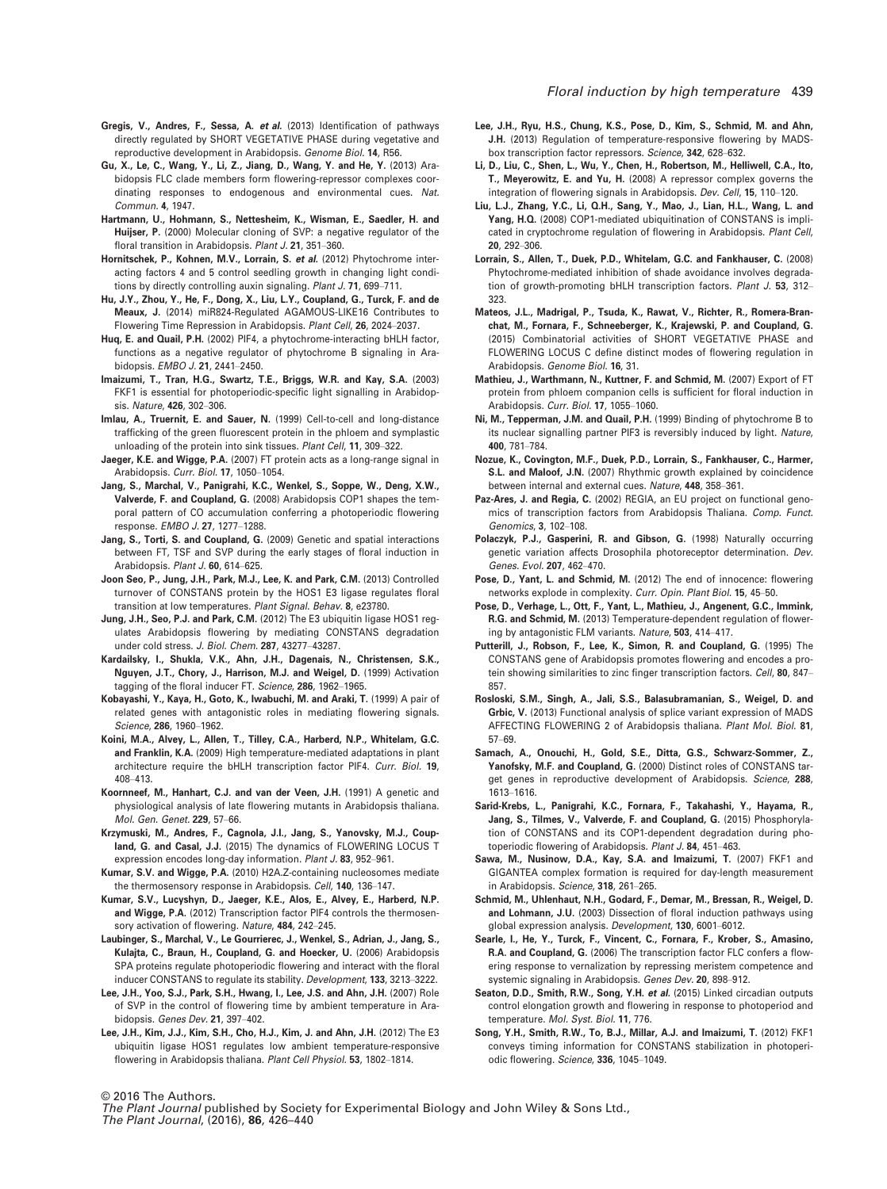- Gregis, V., Andres, F., Sessa, A. et al. (2013) Identification of pathways directly regulated by SHORT VEGETATIVE PHASE during vegetative and reproductive development in Arabidopsis. Genome Biol. 14, R56.
- Gu, X., Le, C., Wang, Y., Li, Z., Jiang, D., Wang, Y. and He, Y. (2013) Arabidopsis FLC clade members form flowering-repressor complexes coordinating responses to endogenous and environmental cues. Nat. Commun. 4, 1947.
- Hartmann, U., Hohmann, S., Nettesheim, K., Wisman, E., Saedler, H. and Huijser, P. (2000) Molecular cloning of SVP: a negative regulator of the floral transition in Arabidopsis. Plant J. 21, 351-360.
- Hornitschek, P., Kohnen, M.V., Lorrain, S. et al. (2012) Phytochrome interacting factors 4 and 5 control seedling growth in changing light conditions by directly controlling auxin signaling. Plant J. 71, 699–711.
- Hu, J.Y., Zhou, Y., He, F., Dong, X., Liu, L.Y., Coupland, G., Turck, F. and de Meaux, J. (2014) miR824-Regulated AGAMOUS-LIKE16 Contributes to Flowering Time Repression in Arabidopsis. Plant Cell, 26, 2024–2037.
- Huq, E. and Quail, P.H. (2002) PIF4, a phytochrome-interacting bHLH factor, functions as a negative regulator of phytochrome B signaling in Arabidopsis. EMBO J. 21, 2441–2450.
- Imaizumi, T., Tran, H.G., Swartz, T.E., Briggs, W.R. and Kay, S.A. (2003) FKF1 is essential for photoperiodic-specific light signalling in Arabidopsis. Nature, 426, 302–306.
- Imlau, A., Truernit, E. and Sauer, N. (1999) Cell-to-cell and long-distance trafficking of the green fluorescent protein in the phloem and symplastic unloading of the protein into sink tissues. Plant Cell, 11, 309–322.
- Jaeger, K.E. and Wigge, P.A. (2007) FT protein acts as a long-range signal in Arabidopsis. Curr. Biol. 17, 1050–1054.
- Jang, S., Marchal, V., Panigrahi, K.C., Wenkel, S., Soppe, W., Deng, X.W., Valverde, F. and Coupland, G. (2008) Arabidopsis COP1 shapes the temporal pattern of CO accumulation conferring a photoperiodic flowering response. EMBO J. 27, 1277–1288.
- Jang, S., Torti, S. and Coupland, G. (2009) Genetic and spatial interactions between FT, TSF and SVP during the early stages of floral induction in Arabidopsis. Plant J. 60, 614–625.
- Joon Seo, P., Jung, J.H., Park, M.J., Lee, K. and Park, C.M. (2013) Controlled turnover of CONSTANS protein by the HOS1 E3 ligase regulates floral transition at low temperatures. Plant Signal. Behav. 8, e23780.
- Jung, J.H., Seo, P.J. and Park, C.M. (2012) The E3 ubiquitin ligase HOS1 regulates Arabidopsis flowering by mediating CONSTANS degradation under cold stress. J. Biol. Chem. 287, 43277–43287.
- Kardailsky, I., Shukla, V.K., Ahn, J.H., Dagenais, N., Christensen, S.K., Nguyen, J.T., Chory, J., Harrison, M.J. and Weigel, D. (1999) Activation tagging of the floral inducer FT. Science, 286, 1962–1965.
- Kobayashi, Y., Kaya, H., Goto, K., Iwabuchi, M. and Araki, T. (1999) A pair of related genes with antagonistic roles in mediating flowering signals. Science, 286, 1960–1962.
- Koini, M.A., Alvey, L., Allen, T., Tilley, C.A., Harberd, N.P., Whitelam, G.C. and Franklin, K.A. (2009) High temperature-mediated adaptations in plant architecture require the bHLH transcription factor PIF4. Curr. Biol. 19, 408–413.
- Koornneef, M., Hanhart, C.J. and van der Veen, J.H. (1991) A genetic and physiological analysis of late flowering mutants in Arabidopsis thaliana. Mol. Gen. Genet. 229, 57–66.
- Krzymuski, M., Andres, F., Cagnola, J.I., Jang, S., Yanovsky, M.J., Coupland, G. and Casal, J.J. (2015) The dynamics of FLOWERING LOCUS T expression encodes long-day information. Plant J. 83, 952–961.
- Kumar, S.V. and Wigge, P.A. (2010) H2A.Z-containing nucleosomes mediate the thermosensory response in Arabidopsis. Cell, 140, 136–147.
- Kumar, S.V., Lucyshyn, D., Jaeger, K.E., Alos, E., Alvey, E., Harberd, N.P. and Wigge, P.A. (2012) Transcription factor PIF4 controls the thermosensory activation of flowering. Nature, 484, 242–245.
- Laubinger, S., Marchal, V., Le Gourrierec, J., Wenkel, S., Adrian, J., Jang, S., Kulajta, C., Braun, H., Coupland, G. and Hoecker, U. (2006) Arabidopsis SPA proteins regulate photoperiodic flowering and interact with the floral inducer CONSTANS to regulate its stability. Development, 133, 3213–3222.
- Lee, J.H., Yoo, S.J., Park, S.H., Hwang, I., Lee, J.S. and Ahn, J.H. (2007) Role of SVP in the control of flowering time by ambient temperature in Arabidopsis. Genes Dev. 21, 397–402.
- Lee, J.H., Kim, J.J., Kim, S.H., Cho, H.J., Kim, J. and Ahn, J.H. (2012) The E3 ubiquitin ligase HOS1 regulates low ambient temperature-responsive flowering in Arabidopsis thaliana. Plant Cell Physiol. 53, 1802–1814.
- Lee, J.H., Ryu, H.S., Chung, K.S., Pose, D., Kim, S., Schmid, M. and Ahn, J.H. (2013) Regulation of temperature-responsive flowering by MADSbox transcription factor repressors. Science, 342, 628–632.
- Li, D., Liu, C., Shen, L., Wu, Y., Chen, H., Robertson, M., Helliwell, C.A., Ito, T., Meyerowitz, E. and Yu, H. (2008) A repressor complex governs the integration of flowering signals in Arabidopsis. Dev. Cell, 15, 110–120.
- Liu, L.J., Zhang, Y.C., Li, Q.H., Sang, Y., Mao, J., Lian, H.L., Wang, L. and Yang, H.Q. (2008) COP1-mediated ubiquitination of CONSTANS is implicated in cryptochrome regulation of flowering in Arabidopsis. Plant Cell, 20, 292–306.
- Lorrain, S., Allen, T., Duek, P.D., Whitelam, G.C. and Fankhauser, C. (2008) Phytochrome-mediated inhibition of shade avoidance involves degradation of growth-promoting bHLH transcription factors. Plant J. 53, 312-323.
- Mateos, J.L., Madrigal, P., Tsuda, K., Rawat, V., Richter, R., Romera-Branchat, M., Fornara, F., Schneeberger, K., Krajewski, P. and Coupland, G. (2015) Combinatorial activities of SHORT VEGETATIVE PHASE and FLOWERING LOCUS C define distinct modes of flowering regulation in Arabidopsis. Genome Biol. 16, 31.
- Mathieu, J., Warthmann, N., Kuttner, F. and Schmid, M. (2007) Export of FT protein from phloem companion cells is sufficient for floral induction in Arabidopsis. Curr. Biol. 17, 1055–1060.
- Ni, M., Tepperman, J.M. and Quail, P.H. (1999) Binding of phytochrome B to its nuclear signalling partner PIF3 is reversibly induced by light. Nature, 400, 781–784.
- Nozue, K., Covington, M.F., Duek, P.D., Lorrain, S., Fankhauser, C., Harmer, S.L. and Maloof, J.N. (2007) Rhythmic growth explained by coincidence between internal and external cues. Nature, 448, 358–361.
- Paz-Ares, J. and Regia, C. (2002) REGIA, an EU project on functional genomics of transcription factors from Arabidopsis Thaliana. Comp. Funct. Genomics, 3, 102–108.
- Polaczyk, P.J., Gasperini, R. and Gibson, G. (1998) Naturally occurring genetic variation affects Drosophila photoreceptor determination. Dev. Genes. Evol. 207, 462–470.
- Pose, D., Yant, L. and Schmid, M. (2012) The end of innocence: flowering networks explode in complexity. Curr. Opin. Plant Biol. 15, 45–50.
- Pose, D., Verhage, L., Ott, F., Yant, L., Mathieu, J., Angenent, G.C., Immink, R.G. and Schmid, M. (2013) Temperature-dependent regulation of flowering by antagonistic FLM variants. Nature, 503, 414–417.
- Putterill, J., Robson, F., Lee, K., Simon, R. and Coupland, G. (1995) The CONSTANS gene of Arabidopsis promotes flowering and encodes a protein showing similarities to zinc finger transcription factors. Cell, 80, 847-857.
- Rosloski, S.M., Singh, A., Jali, S.S., Balasubramanian, S., Weigel, D. and Grbic, V. (2013) Functional analysis of splice variant expression of MADS AFFECTING FLOWERING 2 of Arabidopsis thaliana. Plant Mol. Biol. 81, 57–69.
- Samach, A., Onouchi, H., Gold, S.E., Ditta, G.S., Schwarz-Sommer, Z., Yanofsky, M.F. and Coupland, G. (2000) Distinct roles of CONSTANS target genes in reproductive development of Arabidopsis. Science, 288, 1613–1616.
- Sarid-Krebs, L., Panigrahi, K.C., Fornara, F., Takahashi, Y., Hayama, R., Jang, S., Tilmes, V., Valverde, F. and Coupland, G. (2015) Phosphorylation of CONSTANS and its COP1-dependent degradation during photoperiodic flowering of Arabidopsis. Plant J. 84, 451–463.
- Sawa, M., Nusinow, D.A., Kay, S.A. and Imaizumi, T. (2007) FKF1 and GIGANTEA complex formation is required for day-length measurement in Arabidopsis. Science, 318, 261–265.
- Schmid, M., Uhlenhaut, N.H., Godard, F., Demar, M., Bressan, R., Weigel, D. and Lohmann, J.U. (2003) Dissection of floral induction pathways using global expression analysis. Development, 130, 6001–6012.
- Searle, I., He, Y., Turck, F., Vincent, C., Fornara, F., Krober, S., Amasino, R.A. and Coupland, G. (2006) The transcription factor FLC confers a flowering response to vernalization by repressing meristem competence and systemic signaling in Arabidopsis. Genes Dev. 20, 898–912.
- Seaton, D.D., Smith, R.W., Song, Y.H. et al. (2015) Linked circadian outputs control elongation growth and flowering in response to photoperiod and temperature. Mol. Syst. Biol. 11, 776.
- Song, Y.H., Smith, R.W., To, B.J., Millar, A.J. and Imaizumi, T. (2012) FKF1 conveys timing information for CONSTANS stabilization in photoperiodic flowering. Science, 336, 1045–1049.

© 2016 The Authors.